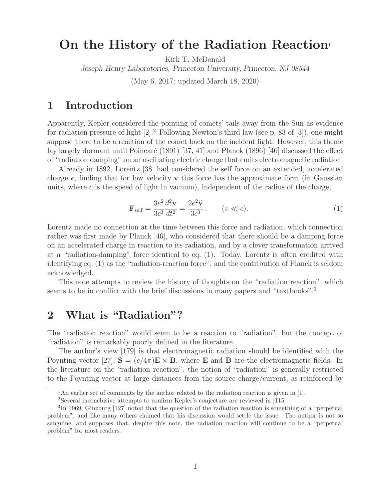# **On the History of the Radiation Reaction**<sup>1</sup>

Kirk T. McDonald

*Joseph Henry Laboratories, Princeton University, Princeton, NJ 08544*

(May 6, 2017; updated March 18, 2020)

## **1 Introduction**

Apparently, Kepler considered the pointing of comets' tails away from the Sun as evidence for radiation pressure of light  $[2].^2$  Following Newton's third law (see p. 83 of  $[3]$ ), one might suppose there to be a reaction of the comet back on the incident light. However, this theme lay largely dormant until Poincaré  $(1891)$  [37, 41] and Planck (1896) [46] discussed the effect of "radiation damping" on an oscillating electric charge that emits electromagnetic radiation.

Already in 1892, Lorentz [38] had considered the self force on an extended, accelerated charge e, finding that for low velocity **v** this force has the approximate form (in Gaussian units, where  $c$  is the speed of light in vacuum), independent of the radius of the charge,

$$
\mathbf{F}_{\text{self}} = \frac{3e^2}{3c^3} \frac{d^2 \mathbf{v}}{dt^2} = \frac{2e^2 \ddot{\mathbf{v}}}{3c^3} \,. \qquad (v \ll c). \tag{1}
$$

Lorentz made no connection at the time between this force and radiation, which connection rather was first made by Planck [46], who considered that there should be a damping force on an accelerated charge in reaction to its radiation, and by a clever transformation arrived at a "radiation-damping" force identical to eq. (1). Today, Lorentz is often credited with identifying eq. (1) as the "radiation-reaction force", and the contribution of Planck is seldom acknowledged.

This note attempts to review the history of thoughts on the "radiation reaction", which seems to be in conflict with the brief discussions in many papers and "textbooks".<sup>3</sup>

# **2 What is "Radiation"?**

The "radiation reaction" would seem to be a reaction to "radiation", but the concept of "radiation" is remarkably poorly defined in the literature.

The author's view [179] is that electromagnetic radiation should be identified with the Poynting vector [27],  $S = (c/4\pi)E \times B$ , where **E** and **B** are the electromagnetic fields. In the literature on the "radiation reaction", the notion of "radiation" is generally restricted to the Poynting vector at large distances from the source charge/current, as reinforced by

<sup>&</sup>lt;sup>1</sup>An earlier set of comments by the author related to the radiation reaction is given in [1].

<sup>2</sup>Several inconclusive attempts to confirm Kepler's conjecture are reviewed in [115].

<sup>3</sup>In 1969, Ginzburg [127] noted that the question of the radiation reaction is something of a "perpetual problem", and like many others claimed that his discussion would settle the issue. The author is not so sanguine, and supposes that, despite this note, the radiation reaction will continue to be a "perpetual problem" for most readers.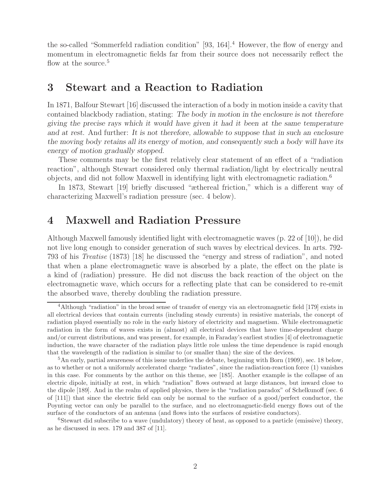the so-called "Sommerfeld radiation condition"  $[93, 164]$ .<sup>4</sup> However, the flow of energy and momentum in electromagnetic fields far from their source does not necessarily reflect the flow at the source.<sup>5</sup>

## **3 Stewart and a Reaction to Radiation**

In 1871, Balfour Stewart [16] discussed the interaction of a body in motion inside a cavity that contained blackbody radiation, stating: *The body in motion in the enclosure is not therefore giving the precise rays which it would have given it had it been at the same temperature and at rest*. And further: *It is not therefore, allowable to suppose that in such an enclosure the moving body retains all its energy of motion, and consequently such a body will have its energy of motion gradually stopped*.

These comments may be the first relatively clear statement of an effect of a "radiation reaction", although Stewart considered only thermal radiation/light by electrically neutral objects, and did not follow Maxwell in identifying light with electromagnetic radiation.<sup>6</sup>

In 1873, Stewart [19] briefly discussed "æthereal friction," which is a different way of characterizing Maxwell's radiation pressure (sec. 4 below).

## **4 Maxwell and Radiation Pressure**

Although Maxwell famously identified light with electromagnetic waves (p. 22 of [10]), he did not live long enough to consider generation of such waves by electrical devices. In arts. 792- 793 of his Treatise (1873) [18] he discussed the "energy and stress of radiation", and noted that when a plane electromagnetic wave is absorbed by a plate, the effect on the plate is a kind of (radiation) pressure. He did not discuss the back reaction of the object on the electromagnetic wave, which occurs for a reflecting plate that can be considered to re-emit the absorbed wave, thereby doubling the radiation pressure.

<sup>&</sup>lt;sup>4</sup>Although "radiation" in the broad sense of transfer of energy via an electromagnetic field [179] exists in all electrical devices that contain currents (including steady currents) in resistive materials, the concept of radiation played essentially no role in the early history of electricity and magnetism. While electromagnetic radiation in the form of waves exists in (almost) all electrical devices that have time-dependent charge and/or current distributions, and was present, for example, in Faraday's earliest studies [4] of electromagnetic induction, the wave character of the radiation plays little role unless the time dependence is rapid enough that the wavelength of the radiation is similar to (or smaller than) the size of the devices.

 $5$ An early, partial awareness of this issue underlies the debate, beginning with Born (1909), sec. 18 below, as to whether or not a uniformly accelerated charge "radiates", since the radiation-reaction force (1) vanishes in this case. For comments by the author on this theme, see [185]. Another example is the collapse of an electric dipole, initially at rest, in which "radiation" flows outward at large distances, but inward close to the dipole [189]. And in the realm of applied physics, there is the "radiation paradox" of Schelkunoff (sec. 6 of [111]) that since the electric field can only be normal to the surface of a good/perfect conductor, the Poynting vector can only be parallel to the surface, and no electromagnetic-field energy flows out of the surface of the conductors of an antenna (and flows into the surfaces of resistive conductors).

 ${}^{6}$ Stewart did subscribe to a wave (undulatory) theory of heat, as opposed to a particle (emissive) theory, as he discussed in secs. 179 and 387 of [11].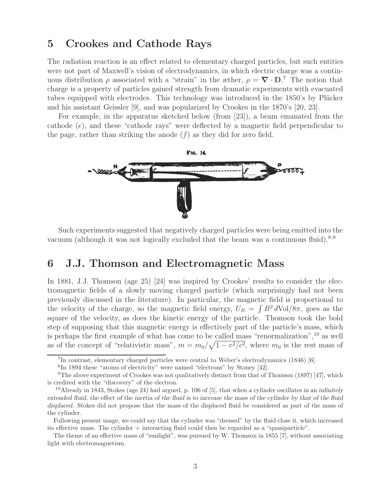# **5 Crookes and Cathode Rays**

The radiation reaction is an effect related to elementary charged particles, but such entities were not part of Maxwell's vision of electrodynamics, in which electric charge was a continuous distribution  $\rho$  associated with a "strain" in the æther,  $\rho = \nabla \cdot \mathbf{D}$ .<sup>7</sup> The notion that charge is a property of particles gained strength from dramatic experiments with evacuated tubes equipped with electrodes. This technology was introduced in the 1850's by Plücker and his assistant Geissler [9], and was popularized by Crookes in the 1870's [20, 23].

For example, in the apparatus sketched below (from [23]), a beam emanated from the cathode (e), and these "cathode rays" were deflected by a magnetic field perpendicular to the page, rather than striking the anode  $(f)$  as they did for zero field.



Such experiments suggested that negatively charged particles were being emitted into the vacuum (although it was not logically excluded that the beam was a continuous fluid). $8,9$ 

# **6 J.J. Thomson and Electromagnetic Mass**

In 1881, J.J. Thomson (age 25) [24] was inspired by Crookes' results to consider the electromagnetic fields of a slowly moving charged particle (which surprisingly had not been previously discussed in the literature). In particular, the magnetic field is proportional to the velocity of the charge, so the magnetic field energy,  $U_B = \int B^2 dVol/8\pi$ , goes as the square of the velocity, as does the kinetic energy of the particle. Thomson took the bold step of supposing that this magnetic energy is effectively part of the particle's mass, which is perhaps the first example of what has come to be called mass "renormalization",<sup>10</sup> as well as of the concept of "relativistic mass",  $m = m_0 / \sqrt{1 - v^2/c^2}$ , where  $m_0$  is the rest mass of

<sup>7</sup>In contrast, elementary charged particles were central to Weber's electrodynamics (1846) [6].

<sup>8</sup>In 1894 these "atoms of electricity" were named "electrons" by Stoney [42].

<sup>&</sup>lt;sup>9</sup>The above experiment of Crookes was not qualitatively distinct from that of Thomson (1897) [47], which is credited with the "discovery" of the electron.

<sup>10</sup>Already in 1843, Stokes (age 24) had argued, p. 106 of [5], that *when a cylinder oscillates in an infinitely extended fluid, the effect of the inertia of the fluid is to increase the mass of the cylinder by that of the fluid displaced.* Stokes did not propose that the mass of the displaced fluid be considered as part of the mass of the cylinder.

Following present usage, we could say that the cylinder was "dressed" by the fluid close it, which increased its effective mass. The cylinder + interacting fluid could then be regarded as a "quasiparticle".

The theme of an effective mass of "sunlight", was pursued by W. Thomson in 1855 [7], without associating light with electromagnetism.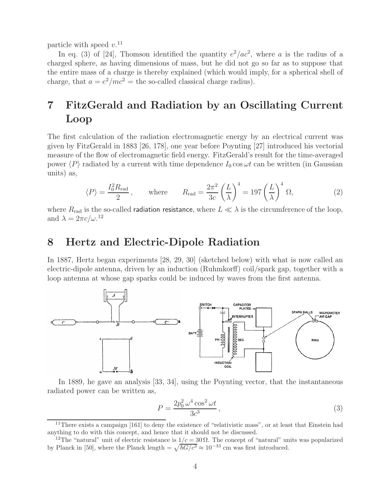particle with speed  $v$ <sup>11</sup>

In eq. (3) of [24], Thomson identified the quantity  $e^2/ac^2$ , where a is the radius of a charged sphere, as having dimensions of mass, but he did not go so far as to suppose that the entire mass of a charge is thereby explained (which would imply, for a spherical shell of charge, that  $a = e^2/mc^2$  = the so-called classical charge radius).

# **7 FitzGerald and Radiation by an Oscillating Current Loop**

The first calculation of the radiation electromagnetic energy by an electrical current was given by FitzGerald in 1883 [26, 178], one year before Poynting [27] introduced his vectorial measure of the flow of electromagnetic field energy. FitzGerald's result for the time-averaged power  $\langle P \rangle$  radiated by a current with time dependence  $I_0 \cos \omega t$  can be written (in Gaussian units) as,

$$
\langle P \rangle = \frac{I_0^2 R_{\text{rad}}}{2}, \quad \text{where} \quad R_{\text{rad}} = \frac{2\pi^2}{3c} \left(\frac{L}{\lambda}\right)^4 = 197 \left(\frac{L}{\lambda}\right)^4 \Omega, \tag{2}
$$

where  $R_{\rm rad}$  is the so-called radiation resistance, where  $L \ll \lambda$  is the circumference of the loop, and  $\lambda = 2\pi c/\omega^{12}$ 

# **8 Hertz and Electric-Dipole Radiation**

In 1887, Hertz began experiments [28, 29, 30] (sketched below) with what is now called an electric-dipole antenna, driven by an induction (Ruhmkorff) coil/spark gap, together with a loop antenna at whose gap sparks could be induced by waves from the first antenna.



In 1889, he gave an analysis [33, 34], using the Poynting vector, that the instantaneous radiated power can be written as,

$$
P = \frac{2p_0^2 \omega^4 \cos^2 \omega t}{3c^3},\tag{3}
$$

<sup>&</sup>lt;sup>11</sup>There exists a campaign [161] to deny the existence of "relativistic mass", or at least that Einstein had anything to do with this concept, and hence that it should not be discussed.

<sup>&</sup>lt;sup>12</sup>The "natural" unit of electric resistance is  $1/c = 30 \Omega$ . The concept of "natural" units was popularized by Planck in [50], where the Planck length =  $\sqrt{\hbar G/c^3} \approx 10^{-33}$  cm was first introduced.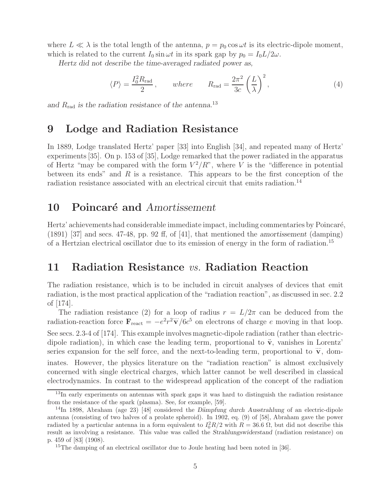where  $L \ll \lambda$  is the total length of the antenna,  $p = p_0 \cos \omega t$  is its electric-dipole moment, which is related to the current  $I_0 \sin \omega t$  in its spark gap by  $p_0 = I_0 L/2\omega$ .

*Hertz did not describe the time-averaged radiated power as,*

$$
\langle P \rangle = \frac{I_0^2 R_{\text{rad}}}{2}, \qquad \text{where} \qquad R_{\text{rad}} = \frac{2\pi^2}{3c} \left(\frac{L}{\lambda}\right)^2, \tag{4}
$$

*and* Rrad *is the radiation resistance of the antenna.*<sup>13</sup>

## **9 Lodge and Radiation Resistance**

In 1889, Lodge translated Hertz' paper [33] into English [34], and repeated many of Hertz' experiments [35]. On p. 153 of [35], Lodge remarked that the power radiated in the apparatus of Hertz "may be compared with the form  $V^2/R$ ", where V is the "difference in potential between its ends" and  $R$  is a resistance. This appears to be the first conception of the radiation resistance associated with an electrical circuit that emits radiation.<sup>14</sup>

## **10 Poincaré and** *Amortissement*

Hertz' achievements had considerable immediate impact, including commentaries by Poincaré, (1891) [37] and secs. 47-48, pp. 92 ff, of [41], that mentioned the *amortissement* (damping) of a Hertzian electrical oscillator due to its emission of energy in the form of radiation.<sup>15</sup>

### **11 Radiation Resistance** vs. **Radiation Reaction**

The radiation resistance, which is to be included in circuit analyses of devices that emit radiation, is the most practical application of the "radiation reaction", as discussed in sec. 2.2 of [174].

The radiation resistance (2) for a loop of radius  $r = L/2\pi$  can be deduced from the radiation-reaction force  $\mathbf{F}_{\text{react}} = -e^2 r^2 \dddot{\mathbf{v}} / 6c^5$  on electrons of charge e moving in that loop. See secs. 2.3-4 of [174]. This example involves magnetic-dipole radiation (rather than electricdipole radiation), in which case the leading term, proportional to  $\ddot{v}$ , vanishes in Lorentz' series expansion for the self force, and the next-to-leading term, proportional to  $\dddot{\mathbf{v}}$ , dominates. However, the physics literature on the "radiation reaction" is almost exclusively concerned with single electrical charges, which latter cannot be well described in classical electrodynamics. In contrast to the widespread application of the concept of the radiation

<sup>&</sup>lt;sup>13</sup>In early experiments on antennas with spark gaps it was hard to distinguish the radiation resistance from the resistance of the spark (plasma). See, for example, [59].

<sup>14</sup>In 1898, Abraham (age 23) [48] considered the *D¨ampfung durch Ausstrahlung* of an electric-dipole antenna (consisting of two halves of a prolate spheroid). In 1902, eq. (9) of [58], Abraham gave the power radiated by a particular antenna in a form equivalent to  $I_0^2 R/2$  with  $R = 36.6 \Omega$ , but did not describe this result as involving a resistance. This value was called the *Strahlungswiderstand* (radiation resistance) on p. 459 of [83] (1908).

<sup>&</sup>lt;sup>15</sup>The damping of an electrical oscillator due to Joule heating had been noted in [36].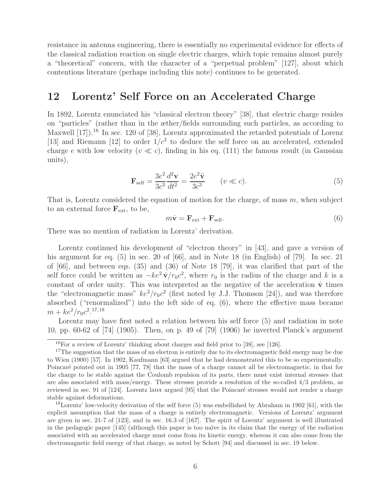resistance in antenna engineering, there is essentially no experimental evidence for effects of the classical radiation reaction on single electric charges, which topic remains almost purely a "theoretical" concern, with the character of a "perpetual problem" [127], about which contentious literature (perhaps including this note) continues to be generated.

# **12 Lorentz' Self Force on an Accelerated Charge**

In 1892, Lorentz enunciated his "classical electron theory" [38], that electric charge resides on "particles" (rather than in the æther/fields surrounding such particles, as according to Maxwell [17]).<sup>16</sup> In sec. 120 of [38], Lorentz approximated the retarded potentials of Lorenz [13] and Riemann [12] to order  $1/c<sup>3</sup>$  to deduce the self force on an accelerated, extended charge e with low velocity  $(v \ll c)$ , finding in his eq. (111) the famous result (in Gaussian units),

$$
\mathbf{F}_{\text{self}} = \frac{3e^2}{3c^3} \frac{d^2 \mathbf{v}}{dt^2} = \frac{2e^2 \ddot{\mathbf{v}}}{3c^3} \qquad (v \ll c). \tag{5}
$$

That is, Lorentz considered the equation of motion for the charge, of mass  $m$ , when subject to an external force  $\mathbf{F}_{ext}$ , to be,

$$
m\dot{\mathbf{v}} = \mathbf{F}_{\text{ext}} + \mathbf{F}_{\text{self}}.\tag{6}
$$

There was no mention of radiation in Lorentz' derivation.

Lorentz continued his development of "electron theory" in [43], and gave a version of his argument for eq. (5) in sec. 20 of [66], and in Note 18 (in English) of [79]. In sec. 21 of [66], and between eqs. (35) and (36) of Note 18 [79], it was clarified that part of the self force could be written as  $-ke^2 \dot{\mathbf{v}}/r_0c^2$ , where  $r_0$  is the radius of the charge and k is a constant of order unity. This was interpreted as the negative of the acceleration  $\dot{v}$  times the "electromagnetic mass"  $ke^2/r_0c^2$  (first noted by J.J. Thomson [24]), and was therefore absorbed ("renormalized") into the left side of eq. (6), where the effective mass became  $m + ke^2/r_0c^2$ <sup>17,18</sup>

Lorentz may have first noted a relation between his self force  $(5)$  and radiation in note 10, pp. 60-62 of [74] (1905). Then, on p. 49 of [79] (1906) he inverted Planck's argument

 $16$  For a review of Lorentz' thinking about charges and field prior to [38], see [126].

<sup>&</sup>lt;sup>17</sup>The suggestion that the mass of an electron is entirely due to its electromagnetic field energy may be due to Wien (1900) [57]. In 1902, Kaufmann [63] argued that he had demonstrated this to be so experimentally. Poincaré pointed out in 1905 [77, 78] that the mass of a charge cannot all be electromagnetic, in that for the charge to be stable against the Coulomb repulsion of its parts, there must exist internal stresses that are also associated with mass/energy. These stresses provide a resolution of the so-called 4/3 problem, as reviewed in sec. 91 of [124]. Lorentz later argued [95] that the Poincaré stresses would not render a charge stable against deformations.

 $18$ Lorentz' low-velocity derivation of the self force (5) was embellished by Abraham in 1902 [61], with the explicit assumption that the mass of a charge is entirely electromagnetic. Versions of Lorentz' argument are given in sec. 21-7 of [123], and in sec. 16.3 of [167]. The spirit of Lorentz' argument is well illustrated in the pedagogic paper [145] (although this paper is too naïve in its claim that the energy of the radiation associated with an accelerated charge must come from its kinetic energy, whereas it can also come from the electromagnetic field energy of that charge, as noted by Schott [94] and discussed in sec. 19 below.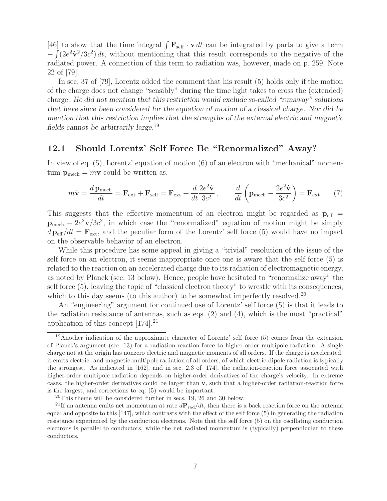[46] to show that the time integral  $\int \mathbf{F}_{\text{self}} \cdot \mathbf{v} dt$  can be integrated by parts to give a term  $-\int (2e^2\dot{v}^2/3c^2) dt$ , without mentioning that this result corresponds to the negative of the radiated power. A connection of this term to radiation was, however, made on p. 259, Note 22 of [79].

In sec. 37 of [79], Lorentz added the comment that his result (5) holds only if the motion of the charge does not change "sensibly" during the time light takes to cross the (extended) charge. *He did not mention that this restriction would exclude so-called "runaway" solutions that have since been considered for the equation of motion of a classical charge. Nor did he mention that this restriction implies that the strengths of the external electric and magnetic fields cannot be arbitrarily large.*<sup>19</sup>

#### **12.1 Should Lorentz' Self Force Be "Renormalized" Away?**

In view of eq. (5), Lorentz' equation of motion (6) of an electron with "mechanical" momentum  $\mathbf{p}_{\text{mech}} = m\mathbf{v}$  could be written as,

$$
m\dot{\mathbf{v}} = \frac{d\mathbf{p}_{\text{mech}}}{dt} = \mathbf{F}_{\text{ext}} + \mathbf{F}_{\text{self}} = \mathbf{F}_{\text{ext}} + \frac{d}{dt}\frac{2e^2\dot{\mathbf{v}}}{3c^2}, \qquad \frac{d}{dt}\left(\mathbf{p}_{\text{mech}} - \frac{2e^2\dot{\mathbf{v}}}{3c^2}\right) = \mathbf{F}_{\text{ext}}.
$$
 (7)

This suggests that the effective momentum of an electron might be regarded as  $p_{\text{eff}}$  =  $p_{\text{mech}} - 2e^2 \dot{v}/3c^2$ , in which case the "renormalized" equation of motion might be simply  $d\mathbf{p}_{\text{eff}} / dt = \mathbf{F}_{\text{ext}}$ , and the peculiar form of the Lorentz' self force (5) would have no impact on the observable behavior of an electron.

While this procedure has some appeal in giving a "trivial" resolution of the issue of the self force on an electron, it seems inappropriate once one is aware that the self force (5) is related to the reaction on an accelerated charge due to its radiation of electromagnetic energy, as noted by Planck (sec. 13 below). Hence, people have hesitated to "renormalize away" the self force (5), leaving the topic of "classical electron theory" to wrestle with its consequences, which to this day seems (to this author) to be somewhat imperfectly resolved.<sup>20</sup>

An "engineering" argument for continued use of Lorentz' self force (5) is that it leads to the radiation resistance of antennas, such as eqs. (2) and (4), which is the most "practical" application of this concept  $[174]$ <sup>21</sup>

<sup>19</sup>Another indication of the approximate character of Lorentz' self force (5) comes from the extension of Planck's argument (sec. 13) for a radiation-reaction force to higher-order multipole radiation. A single charge not at the origin has nonzero electric and magnetic moments of all orders. If the charge is accelerated, it emits electric- and magnetic-multipole radiation of all orders, of which electric-dipole radiation is typically the strongest. As indicated in [162], and in sec. 2.3 of [174], the radiation-reaction force associated with higher-order multipole radiation depends on higher-order derivatives of the charge's velocity. In extreme cases, the higher-order derivatives could be larger than  $\ddot{v}$ , such that a higher-order radiation-reaction force is the largest, and corrections to eq. (5) would be important.

 $20$ This theme will be considered further in secs. 19, 26 and 30 below.

<sup>&</sup>lt;sup>21</sup>If an antenna emits net momentum at rate  $dP_{rad}/dt$ , then there is a back reaction force on the antenna equal and opposite to this [147], which contrasts with the effect of the self force (5) in generating the radiation resistance experienced by the conduction electrons. Note that the self force (5) on the oscillating conduction electrons is parallel to conductors, while the net radiated momentum is (typically) perpendicular to these conductors.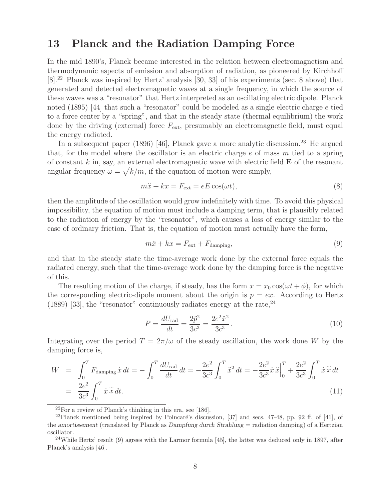# **13 Planck and the Radiation Damping Force**

In the mid 1890's, Planck became interested in the relation between electromagnetism and thermodynamic aspects of emission and absorption of radiation, as pioneered by Kirchhoff [8].<sup>22</sup> Planck was inspired by Hertz' analysis [30, 33] of his experiments (sec. 8 above) that generated and detected electromagnetic waves at a single frequency, in which the source of these waves was a "resonator" that Hertz interpreted as an oscillating electric dipole. Planck noted (1895) [44] that such a "resonator" could be modeled as a single electric charge e tied to a force center by a "spring", and that in the steady state (thermal equilibrium) the work done by the driving (external) force  $F_{\text{ext}}$ , presumably an electromagnetic field, must equal the energy radiated.

In a subsequent paper (1896) [46], Planck gave a more analytic discussion.<sup>23</sup> He argued that, for the model where the oscillator is an electric charge  $e$  of mass  $m$  tied to a spring of constant k in, say, an external electromagnetic wave with electric field **E** of the resonant angular frequency  $\omega = \sqrt{k/m}$ , if the equation of motion were simply,

$$
m\ddot{x} + kx = F_{\text{ext}} = eE\cos(\omega t),\tag{8}
$$

then the amplitude of the oscillation would grow indefinitely with time. To avoid this physical impossibility, the equation of motion must include a damping term, that is plausibly related to the radiation of energy by the "resonator", which causes a loss of energy similar to the case of ordinary friction. That is, the equation of motion must actually have the form,

$$
m\ddot{x} + kx = F_{\text{ext}} + F_{\text{damping}},\tag{9}
$$

and that in the steady state the time-average work done by the external force equals the radiated energy, such that the time-average work done by the damping force is the negative of this.

The resulting motion of the charge, if steady, has the form  $x = x_0 \cos(\omega t + \phi)$ , for which the corresponding electric-dipole moment about the origin is  $p = e x$ . According to Hertz (1889) [33], the "resonator" continuously radiates energy at the rate,  $24$ 

$$
P = \frac{dU_{\text{rad}}}{dt} = \frac{2\ddot{p}^2}{3c^3} = \frac{2e^2\ddot{x}^2}{3c^3}.
$$
 (10)

Integrating over the period  $T = 2\pi/\omega$  of the steady oscillation, the work done W by the damping force is,

$$
W = \int_0^T F_{\text{damping}} \dot{x} dt = -\int_0^T \frac{dU_{\text{rad}}}{dt} dt = -\frac{2e^2}{3c^3} \int_0^T \ddot{x}^2 dt = -\frac{2e^2}{3c^3} \dot{x} \ddot{x} \Big|_0^T + \frac{2e^2}{3c^3} \int_0^T \dot{x} \ddot{x} dt
$$
  
=  $\frac{2e^2}{3c^3} \int_0^T \dot{x} \ddot{x} dt.$  (11)

<sup>22</sup>For a review of Planck's thinking in this era, see [186].

 $^{23}$ Planck mentioned being inspired by Poincaré's discussion, [37] and secs. 47-48, pp. 92 ff, of [41], of the *amortissement* (translated by Planck as *Dampfung durch Strahlung* = radiation damping) of a Hertzian oscillator.

 $24$ While Hertz' result (9) agrees with the Larmor formula [45], the latter was deduced only in 1897, after Planck's analysis [46].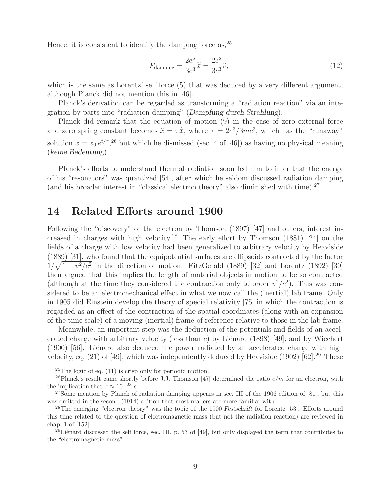Hence, it is consistent to identify the damping force as,  $2^5$ 

$$
F_{\text{damping}} = \frac{2e^2}{3c^3}\ddot{x} = \frac{2e^2}{3c^3}\ddot{v},\tag{12}
$$

which is the same as Lorentz' self force (5) that was deduced by a very different argument, although Planck did not mention this in [46].

Planck's derivation can be regarded as transforming a "radiation reaction" via an integration by parts into "radiation damping" (*Dampfung durch Strahlung*).

Planck did remark that the equation of motion (9) in the case of zero external force and zero spring constant becomes  $\ddot{x} = \tau \ddot{x}$ , where  $\tau = 2e^3/3mc^3$ , which has the "runaway" solution  $x = x_0 e^{t/\tau}$ , <sup>26</sup> but which he dismissed (sec. 4 of [46]) as having no physical meaning (*keine Bedeutung*).

Planck's efforts to understand thermal radiation soon led him to infer that the energy of his "resonators" was quantized [54], after which he seldom discussed radiation damping (and his broader interest in "classical electron theory" also diminished with time). $^{27}$ 

## **14 Related Efforts around 1900**

Following the "discovery" of the electron by Thomson (1897) [47] and others, interest increased in charges with high velocity.<sup>28</sup> The early effort by Thomson  $(1881)$  [24] on the fields of a charge with low velocity had been generalized to arbitrary velocity by Heaviside (1889) [31], who found that the equipotential surfaces are ellipsoids contracted by the factor  $1/\sqrt{1-v^2/c^2}$  in the direction of motion. FitzGerald (1889) [32] and Lorentz (1892) [39] then argued that this implies the length of material objects in motion to be so contracted (although at the time they considered the contraction only to order  $v^2/c^2$ ). This was considered to be an electromechanical effect in what we now call the (inertial) lab frame. Only in 1905 did Einstein develop the theory of special relativity [75] in which the contraction is regarded as an effect of the contraction of the spatial coordinates (along with an expansion of the time scale) of a moving (inertial) frame of reference relative to those in the lab frame.

Meanwhile, an important step was the deduction of the potentials and fields of an accelerated charge with arbitrary velocity (less than c) by Liénard (1898) [49], and by Wiechert  $(1900)$  [56]. Liénard also deduced the power radiated by an accelerated charge with high velocity, eq.  $(21)$  of [49], which was independently deduced by Heaviside (1902) [62].<sup>29</sup> These

 $25$ The logic of eq.  $(11)$  is crisp only for periodic motion.

<sup>&</sup>lt;sup>26</sup>Planck's result came shortly before J.J. Thomson [47] determined the ratio  $e/m$  for an electron, with the implication that  $\tau \approx 10^{-23}$  s.

 $27$ Some mention by Planck of radiation damping appears in sec. III of the 1906 edition of [81], but this was omitted in the second (1914) edition that most readers are more familiar with.

<sup>28</sup>The emerging "electron theory" was the topic of the 1900 *Festschrift* for Lorentz [53]. Efforts around this time related to the question of electromagnetic mass (but not the radiation reaction) are reviewed in chap. 1 of [152].

 $^{29}$ Liénard discussed the self force, sec. III, p. 53 of [49], but only displayed the term that contributes to the "electromagnetic mass".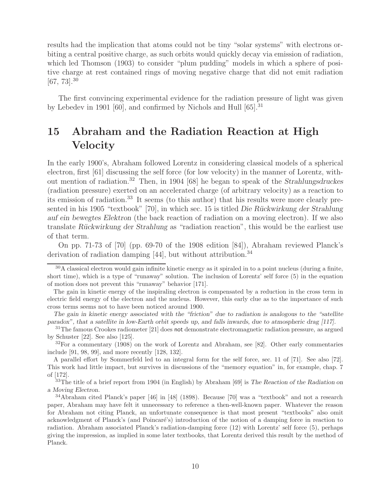results had the implication that atoms could not be tiny "solar systems" with electrons orbiting a central positive charge, as such orbits would quickly decay via emission of radiation, which led Thomson (1903) to consider "plum pudding" models in which a sphere of positive charge at rest contained rings of moving negative charge that did not emit radiation  $[67, 73]$ <sup>30</sup>

The first convincing experimental evidence for the radiation pressure of light was given by Lebedev in 1901 [60], and confirmed by Nichols and Hull  $[65]$ <sup>31</sup>

# **15 Abraham and the Radiation Reaction at High Velocity**

In the early 1900's, Abraham followed Lorentz in considering classical models of a spherical electron, first [61] discussing the self force (for low velocity) in the manner of Lorentz, without mention of radiation.<sup>32</sup> Then, in 1904 [68] he began to speak of the *Strahlungsdruckes* (radiation pressure) exerted on an accelerated charge (of arbitrary velocity) as a reaction to its emission of radiation.<sup>33</sup> It seems (to this author) that his results were more clearly presented in his 1905 "textbook" [70], in which sec. 15 is titled *Die Rückwirkung der Strahlung auf ein bewegtes Elektron* (the back reaction of radiation on a moving electron). If we also translate *R¨uckwirkung der Strahlung* as "radiation reaction", this would be the earliest use of that term.

On pp. 71-73 of [70] (pp. 69-70 of the 1908 edition [84]), Abraham reviewed Planck's derivation of radiation damping  $[44]$ , but without attribution.<sup>34</sup>

 $30A$  classical electron would gain infinite kinetic energy as it spiraled in to a point nucleus (during a finite, short time), which is a type of "runaway" solution. The inclusion of Lorentz' self force (5) in the equation of motion does not prevent this "runaway" behavior [171].

The gain in kinetic energy of the inspiraling electron is compensated by a reduction in the cross term in electric field energy of the electron and the nucleus. However, this early clue as to the importance of such cross terms seems not to have been noticed around 1900.

*The gain in kinetic energy associated with the "friction" due to radiation is analogous to the "satellite paradox", that a satellite in low-Earth orbit speeds up, and falls inwards, due to atmospheric drag [117].*

<sup>31</sup>The famous Crookes radiometer [21] does not demonstrate electromagnetic radiation pressure, as argued by Schuster [22]. See also [125].

 $32$ For a commentary  $(1908)$  on the work of Lorentz and Abraham, see [82]. Other early commentaries include [91, 98, 99], and more recently [128, 132].

A parallel effort by Sommerfeld led to an integral form for the self force, sec. 11 of [71]. See also [72]. This work had little impact, but survives in discussions of the "memory equation" in, for example, chap. 7 of [172].

<sup>33</sup>The title of a brief report from 1904 (in English) by Abraham [69] is *The Reaction of the Radiation on a Moving Electron.*

<sup>34</sup>Abraham cited Planck's paper [46] in [48] (1898). Because [70] was a "textbook" and not a research paper, Abraham may have felt it unnecessary to reference a then-well-known paper. Whatever the reason for Abraham not citing Planck, an unfortunate consequence is that most present "textbooks" also omit acknowledgment of Planck's (and Poincaré's) introduction of the notion of a damping force in reaction to radiation. Abraham associated Planck's radiation-damping force (12) with Lorentz' self force (5), perhaps giving the impression, as implied in some later textbooks, that Lorentz derived this result by the method of Planck.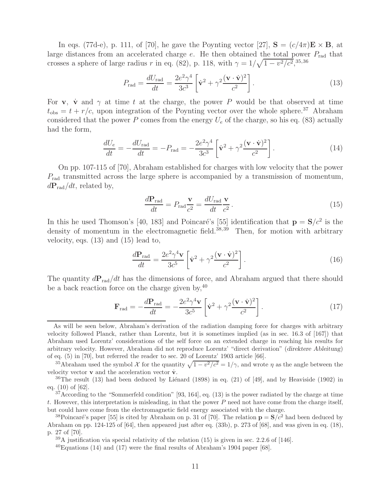In eqs. (77d-e), p. 111, of [70], he gave the Poynting vector [27],  $\mathbf{S} = (c/4\pi)\mathbf{E} \times \mathbf{B}$ , at large distances from an accelerated charge  $e$ . He then obtained the total power  $P_{rad}$  that crosses a sphere of large radius r in eq. (82), p. 118, with  $\gamma = 1/\sqrt{1 - v^2/c^2}$ , 35,36

$$
P_{\rm rad} = \frac{dU_{\rm rad}}{dt} = \frac{2e^2\gamma^4}{3c^3} \left[ \dot{\mathbf{v}}^2 + \gamma^2 \frac{(\mathbf{v} \cdot \dot{\mathbf{v}})^2}{c^2} \right]. \tag{13}
$$

For **v**, **v** and  $\gamma$  at time t at the charge, the power P would be that observed at time  $t_{\rm obs} = t + r/c$ , upon integration of the Poynting vector over the whole sphere.<sup>37</sup> Abraham considered that the power P comes from the energy  $U_e$  of the charge, so his eq. (83) actually had the form,

$$
\frac{dU_e}{dt} = -\frac{dU_{\text{rad}}}{dt} = -P_{\text{rad}} = -\frac{2e^2\gamma^4}{3c^3} \left[ \dot{\mathbf{v}}^2 + \gamma^2 \frac{(\mathbf{v} \cdot \dot{\mathbf{v}})^2}{c^2} \right].
$$
\n(14)

On pp. 107-115 of [70], Abraham established for charges with low velocity that the power  $P_{\text{rad}}$  transmitted across the large sphere is accompanied by a transmission of momentum,  $dP_{\rm rad}/dt$ , related by,

$$
\frac{d\mathbf{P}_{\text{rad}}}{dt} = P_{\text{rad}} \frac{\mathbf{v}}{c^2} = \frac{dU_{\text{rad}}}{dt} \frac{\mathbf{v}}{c^2} \,. \tag{15}
$$

In this he used Thomson's [40, 183] and Poincaré's [55] identification that  $\mathbf{p} = \mathbf{S}/c^2$  is the density of momentum in the electromagnetic field.<sup>38,39</sup> Then, for motion with arbitrary velocity, eqs. (13) and (15) lead to,

$$
\frac{d\mathbf{P}_{\text{rad}}}{dt} = \frac{2e^2\gamma^4\mathbf{v}}{3c^5} \left[\dot{\mathbf{v}}^2 + \gamma^2 \frac{(\mathbf{v}\cdot\dot{\mathbf{v}})^2}{c^2}\right].\tag{16}
$$

The quantity  $dP_{rad}/dt$  has the dimensions of force, and Abraham argued that there should be a back reaction force on the charge given by,  $40$ 

$$
\mathbf{F}_{\rm rad} = -\frac{d\mathbf{P}_{\rm rad}}{dt} = -\frac{2e^2\gamma^4\mathbf{v}}{3c^5} \left[\dot{\mathbf{v}}^2 + \gamma^2 \frac{(\mathbf{v}\cdot\dot{\mathbf{v}})^2}{c^2}\right].\tag{17}
$$

As will be seen below, Abraham's derivation of the radiation damping force for charges with arbitrary velocity followed Planck, rather than Lorentz, but it is sometimes implied (as in sec. 16.3 of [167]) that Abraham used Lorentz' considerations of the self force on an extended charge in reaching his results for arbitrary velocity. However, Abraham did not reproduce Lorentz' "direct derivation" (*direktere Ableitung*) of eq. (5) in [70], but referred the reader to sec. 20 of Lorentz' 1903 article [66].

<sup>&</sup>lt;sup>35</sup>Abraham used the symbol X for the quantity  $\sqrt{1 - v^2/c^2} = 1/\gamma$ , and wrote  $\eta$  as the angle between the velocity vector **v** and the acceleration vector **v**.

<sup>&</sup>lt;sup>36</sup>The result (13) had been deduced by Liénard (1898) in eq. (21) of [49], and by Heaviside (1902) in eq. (10) of [62].

 $37$ According to the "Sommerfeld condition" [93, 164], eq. (13) is the power radiated by the charge at time t. However, this interpretation is misleading, in that the power  $P$  need not have come from the charge itself, but could have come from the electromagnetic field energy associated with the charge.

<sup>&</sup>lt;sup>38</sup>Poincaré's paper [55] is cited by Abraham on p. 31 of [70]. The relation  $\mathbf{p} = \mathbf{S}/c^2$  had been deduced by Abraham on pp. 124-125 of [64], then appeared just after eq. (33b), p. 273 of [68], and was given in eq. (18), p. 27 of [70].

 $39A$  justification via special relativity of the relation (15) is given in sec. 2.2.6 of [146].

 $^{40}$ Equations (14) and (17) were the final results of Abraham's 1904 paper [68].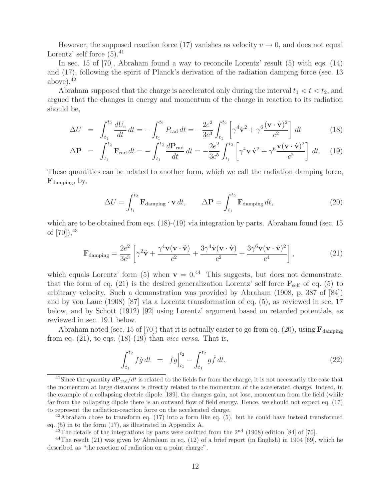However, the supposed reaction force (17) vanishes as velocity  $v \to 0$ , and does not equal Lorentz' self force  $(5)$ .<sup>41</sup>

In sec. 15 of [70], Abraham found a way to reconcile Lorentz' result (5) with eqs. (14) and (17), following the spirit of Planck's derivation of the radiation damping force (sec. 13 above). $42$ 

Abraham supposed that the charge is accelerated only during the interval  $t_1 < t < t_2$ , and argued that the changes in energy and momentum of the charge in reaction to its radiation should be,

$$
\Delta U = \int_{t_1}^{t_2} \frac{dU_e}{dt} dt = -\int_{t_1}^{t_2} P_{\text{rad}} dt = -\frac{2e^2}{3c^3} \int_{t_1}^{t_2} \left[ \gamma^4 \dot{\mathbf{v}}^2 + \gamma^6 \frac{(\mathbf{v} \cdot \dot{\mathbf{v}})^2}{c^2} \right] dt \tag{18}
$$

$$
\Delta \mathbf{P} = \int_{t_1}^{t_2} \mathbf{F}_{\text{rad}} dt = -\int_{t_1}^{t_2} \frac{d\mathbf{P}_{\text{rad}}}{dt} dt = -\frac{2e^2}{3c^5} \int_{t_1}^{t_2} \left[ \gamma^4 \mathbf{v} \dot{\mathbf{v}}^2 + \gamma^6 \frac{\mathbf{v} (\mathbf{v} \cdot \dot{\mathbf{v}})^2}{c^2} \right] dt. \tag{19}
$$

These quantities can be related to another form, which we call the radiation damping force,  $\mathbf{F}_{\text{damping}}$ , by,

$$
\Delta U = \int_{t_1}^{t_2} \mathbf{F}_{\text{damping}} \cdot \mathbf{v} dt, \qquad \Delta \mathbf{P} = \int_{t_1}^{t_2} \mathbf{F}_{\text{damping}} dt,
$$
\n(20)

which are to be obtained from eqs.  $(18)-(19)$  via integration by parts. Abraham found (sec. 15) of  $[70]$ ,  $^{43}$ 

$$
\mathbf{F}_{\text{damping}} = \frac{2e^2}{3c^3} \left[ \gamma^2 \ddot{\mathbf{v}} + \frac{\gamma^4 \mathbf{v} (\mathbf{v} \cdot \ddot{\mathbf{v}})}{c^2} + \frac{3\gamma^4 \dot{\mathbf{v}} (\mathbf{v} \cdot \dot{\mathbf{v}})}{c^2} + \frac{3\gamma^6 \mathbf{v} (\mathbf{v} \cdot \dot{\mathbf{v}})^2}{c^4} \right],
$$
(21)

which equals Lorentz' form (5) when  $\mathbf{v} = 0.44$  This suggests, but does not demonstrate, that the form of eq. (21) is the desired generalization Lorentz' self force  $\mathbf{F}_{\text{self}}$  of eq. (5) to arbitrary velocity. Such a demonstration was provided by Abraham (1908, p. 387 of [84]) and by von Laue (1908) [87] via a Lorentz transformation of eq. (5), as reviewed in sec. 17 below, and by Schott (1912) [92] using Lorentz' argument based on retarded potentials, as reviewed in sec. 19.1 below.

Abraham noted (sec. 15 of [70]) that it is actually easier to go from eq. (20), using  $\mathbf{F}_{\text{damping}}$ from eq.  $(21)$ , to eqs.  $(18)-(19)$  than *vice versa*. That is,

$$
\int_{t_1}^{t_2} f \dot{g} \, dt = f g \Big|_{t_1}^{t_2} - \int_{t_1}^{t_2} g \dot{f} \, dt,\tag{22}
$$

<sup>41</sup>Since the quantity  $d\mathbf{P}_{rad}/dt$  is related to the fields far from the charge, it is not necessarily the case that the momentum at large distances is directly related to the momentum of the accelerated charge. Indeed, in the example of a collapsing electric dipole [189], the charges gain, not lose, momentum from the field (while far from the collapsing dipole there is an outward flow of field energy. Hence, we should not expect eq. (17) to represent the radiation-reaction force on the accelerated charge.

 $42$ Abraham chose to transform eq. (17) into a form like eq. (5), but he could have instead transformed eq. (5) in to the form (17), as illustrated in Appendix A.

 $^{43}$ The details of the integrations by parts were omitted from the  $2<sup>nd</sup>$  (1908) edition [84] of [70].

<sup>44</sup>The result (21) was given by Abraham in eq. (12) of a brief report (in English) in 1904 [69], which he described as "the reaction of radiation on a point charge".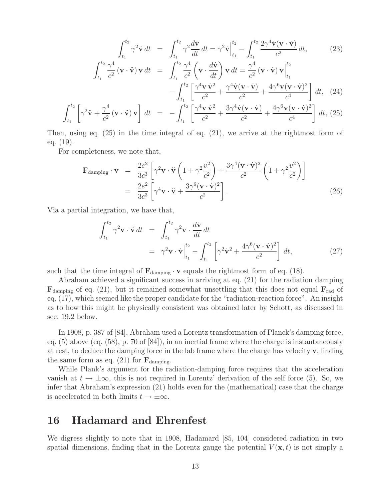$$
\int_{t_1}^{t_2} \gamma^2 \ddot{\mathbf{v}} dt = \int_{t_1}^{t_2} \gamma^2 \frac{d\dot{\mathbf{v}}}{dt} dt = \gamma^2 \dot{\mathbf{v}} \Big|_{t_1}^{t_2} - \int_{t_1}^{t_2} \frac{2\gamma^4 \dot{\mathbf{v}} (\mathbf{v} \cdot \dot{\mathbf{v}})}{c^2} dt, \qquad (23)
$$
\n
$$
\int_{t_1}^{t_2} \frac{\gamma^4}{c^2} (\mathbf{v} \cdot \ddot{\mathbf{v}}) \mathbf{v} dt = \int_{t_1}^{t_2} \frac{\gamma^4}{c^2} (\mathbf{v} \cdot \frac{d\dot{\mathbf{v}}}{dt}) \mathbf{v} dt = \frac{\gamma^4}{c^2} (\mathbf{v} \cdot \dot{\mathbf{v}}) \mathbf{v} \Big|_{t_1}^{t_2} - \int_{t_1}^{t_2} \left[ \frac{\gamma^4 \mathbf{v} \dot{\mathbf{v}}^2}{c^2} + \frac{\gamma^4 \dot{\mathbf{v}} (\mathbf{v} \cdot \dot{\mathbf{v}})}{c^2} + \frac{4\gamma^6 \mathbf{v} (\mathbf{v} \cdot \dot{\mathbf{v}})^2}{c^4} \right] dt, \qquad (24)
$$
\n
$$
t_2 \Gamma \qquad \gamma^4 \qquad 1 \qquad t_2^t \left[ \gamma^4 \mathbf{v} \dot{\mathbf{v}}^2 - 3\gamma^4 \dot{\mathbf{v}} (\mathbf{v} \cdot \dot{\mathbf{v}}) - 4\gamma^6 \mathbf{v} (\mathbf{v} \cdot \dot{\mathbf{v}})^2 \right]
$$

$$
\int_{t_1}^{t_2} \left[ \gamma^2 \ddot{\mathbf{v}} + \frac{\gamma^4}{c^2} \left( \mathbf{v} \cdot \ddot{\mathbf{v}} \right) \mathbf{v} \right] dt = - \int_{t_1}^{t_2} \left[ \frac{\gamma^4 \mathbf{v} \dot{\mathbf{v}}^2}{c^2} + \frac{3 \gamma^4 \dot{\mathbf{v}} \left( \mathbf{v} \cdot \dot{\mathbf{v}} \right)}{c^2} + \frac{4 \gamma^6 \mathbf{v} \left( \mathbf{v} \cdot \dot{\mathbf{v}} \right)^2}{c^4} \right] dt, (25)
$$

Then, using eq. (25) in the time integral of eq. (21), we arrive at the rightmost form of eq. (19).

For completeness, we note that,

$$
\mathbf{F}_{\text{damping}} \cdot \mathbf{v} = \frac{2e^2}{3c^3} \left[ \gamma^2 \mathbf{v} \cdot \ddot{\mathbf{v}} \left( 1 + \gamma^2 \frac{v^2}{c^2} \right) + \frac{3\gamma^4 (\mathbf{v} \cdot \dot{\mathbf{v}})^2}{c^2} \left( 1 + \gamma^2 \frac{v^2}{c^2} \right) \right]
$$
  
= 
$$
\frac{2e^2}{3c^3} \left[ \gamma^4 \mathbf{v} \cdot \ddot{\mathbf{v}} + \frac{3\gamma^6 (\mathbf{v} \cdot \dot{\mathbf{v}})^2}{c^2} \right].
$$
 (26)

Via a partial integration, we have that,

$$
\int_{t_1}^{t_2} \gamma^2 \mathbf{v} \cdot \ddot{\mathbf{v}} dt = \int_{t_1}^{t_2} \gamma^2 \mathbf{v} \cdot \frac{d\dot{\mathbf{v}}}{dt} dt
$$
\n
$$
= \gamma^2 \mathbf{v} \cdot \dot{\mathbf{v}} \Big|_{t_1}^{t_2} - \int_{t_1}^{t_2} \left[ \gamma^2 \dot{\mathbf{v}}^2 + \frac{4\gamma^6 (\mathbf{v} \cdot \dot{\mathbf{v}})^2}{c^2} \right] dt,
$$
\n(27)

such that the time integral of  $\mathbf{F}_{\text{damping}} \cdot \mathbf{v}$  equals the rightmost form of eq. (18).

Abraham achieved a significant success in arriving at eq. (21) for the radiation damping  $\mathbf{F}_{\text{damping}}$  of eq. (21), but it remained somewhat unsettling that this does not equal  $\mathbf{F}_{\text{rad}}$  of eq. (17), which seemed like the proper candidate for the "radiation-reaction force". An insight as to how this might be physically consistent was obtained later by Schott, as discussed in sec. 19.2 below.

In 1908, p. 387 of [84], Abraham used a Lorentz transformation of Planck's damping force, eq.  $(5)$  above (eq.  $(58)$ , p. 70 of  $[84]$ ), in an inertial frame where the charge is instantaneously at rest, to deduce the damping force in the lab frame where the charge has velocity **v**, finding the same form as eq.  $(21)$  for  $\mathbf{F}_{damping}$ .

While Plank's argument for the radiation-damping force requires that the acceleration vanish at  $t \to \pm \infty$ , this is not required in Lorentz' derivation of the self force (5). So, we infer that Abraham's expression (21) holds even for the (mathematical) case that the charge is accelerated in both limits  $t \to \pm \infty$ .

# **16 Hadamard and Ehrenfest**

We digress slightly to note that in 1908, Hadamard [85, 104] considered radiation in two spatial dimensions, finding that in the Lorentz gauge the potential  $V(\mathbf{x},t)$  is not simply a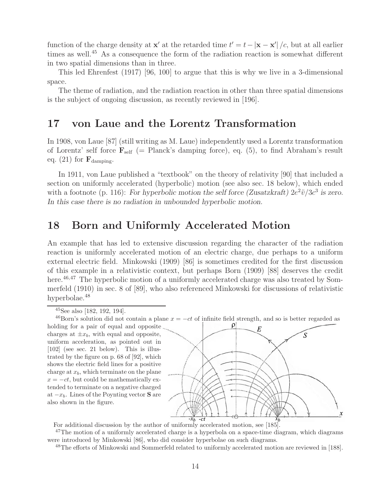function of the charge density at **x**<sup>-</sup> at the retarded time  $t' = t - |\mathbf{x} - \mathbf{x}'|/c$ , but at all earlier times as well.<sup>45</sup> As a consequence the form of the radiation reaction is somewhat different in two spatial dimensions than in three.

This led Ehrenfest (1917) [96, 100] to argue that this is why we live in a 3-dimensional space.

The theme of radiation, and the radiation reaction in other than three spatial dimensions is the subject of ongoing discussion, as recently reviewed in [196].

# **17 von Laue and the Lorentz Transformation**

In 1908, von Laue [87] (still writing as M. Laue) independently used a Lorentz transformation of Lorentz' self force  $\mathbf{F}_{\text{self}}$  (= Planck's damping force), eq. (5), to find Abraham's result eq.  $(21)$  for  $\mathbf{F}_{\text{damping}}$ .

In 1911, von Laue published a "textbook" on the theory of relativity [90] that included a section on uniformly accelerated (hyperbolic) motion (see also sec. 18 below), which ended with a footnote (p. 116): *For hyperbolic motion the self force (Zusatzkraft)*  $2e^2\ddot{v}/3c^3$  *is zero. In this case there is no radiation in unbounded hyperbolic motion.*

# **18 Born and Uniformly Accelerated Motion**

An example that has led to extensive discussion regarding the character of the radiation reaction is uniformly accelerated motion of an electric charge, due perhaps to a uniform external electric field. Minkowski (1909) [86] is sometimes credited for the first discussion of this example in a relativistic context, but perhaps Born (1909) [88] deserves the credit here.<sup>46,47</sup> The hyperbolic motion of a uniformly accelerated charge was also treated by Sommerfeld (1910) in sec. 8 of [89], who also referenced Minkowski for discussions of relativistic hyperbolae.<sup>48</sup>

<sup>46</sup>Born's solution did not contain a plane  $x = -ct$  of infinite field strength, and so is better regarded as

holding for a pair of equal and opposite charges at  $\pm x_b$ , with equal and opposite, uniform acceleration, as pointed out in [102] (see sec. 21 below). This is illustrated by the figure on p. 68 of [92], which shows the electric field lines for a positive charge at  $x_b$ , which terminate on the plane  $x = -ct$ , but could be mathematically extended to terminate on a negative charged at  $-x_b$ . Lines of the Poynting vector **S** are also shown in the figure.



For additional discussion by the author of uniformly accelerated motion, see [185].

 $47$ The motion of a uniformly accelerated charge is a hyperbola on a space-time diagram, which diagrams were introduced by Minkowski [86], who did consider hyperbolae on such diagrams.

<sup>48</sup>The efforts of Minkowski and Sommerfeld related to uniformly accelerated motion are reviewed in [188].

 $45$ See also [182, 192, 194].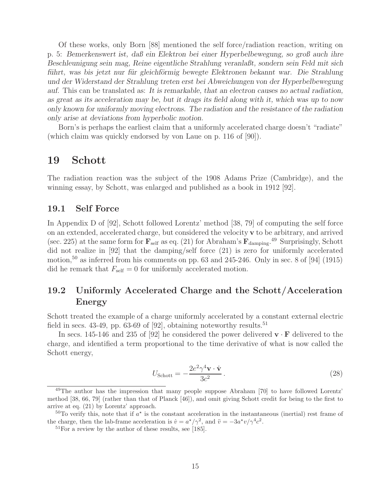Of these works, only Born [88] mentioned the self force/radiation reaction, writing on p. 5: *Bemerkenswert ist, daß ein Elektron bei einer Hyperbelbewegung, so groß auch ihre Beschleunigung sein mag, Reine eigentliche Strahlung veranlaßt, sondern sein Feld mit sich führt, was bis jetzt nur für gleichförmig bewegte Elektronen bekannt war. Die Strahlung und der Widerstand der Strahlung treten erst bei Abweichungen von der Hyperbelbewegung auf.* This can be translated as: *It is remarkable, that an electron causes no actual radiation, as great as its acceleration may be, but it drags its field along with it, which was up to now only known for uniformly moving electrons. The radiation and the resistance of the radiation only arise at deviations from hyperbolic motion.*

Born's is perhaps the earliest claim that a uniformly accelerated charge doesn't "radiate" (which claim was quickly endorsed by von Laue on p. 116 of [90]).

### **19 Schott**

The radiation reaction was the subject of the 1908 Adams Prize (Cambridge), and the winning essay, by Schott, was enlarged and published as a book in 1912 [92].

#### **19.1 Self Force**

In Appendix D of [92], Schott followed Lorentz' method [38, 79] of computing the self force on an extended, accelerated charge, but considered the velocity **v** to be arbitrary, and arrived (sec. 225) at the same form for  $\mathbf{F}_{\text{self}}$  as eq. (21) for Abraham's  $\mathbf{F}_{\text{damping}}$ .<sup>49</sup> Surprisingly, Schott did not realize in [92] that the damping/self force (21) is zero for uniformly accelerated motion,<sup>50</sup> as inferred from his comments on pp. 63 and 245-246. Only in sec. 8 of [94] (1915) did he remark that  $F_{\text{self}} = 0$  for uniformly accelerated motion.

### **19.2 Uniformly Accelerated Charge and the Schott/Acceleration Energy**

Schott treated the example of a charge uniformly accelerated by a constant external electric field in secs. 43-49, pp. 63-69 of [92], obtaining noteworthy results.<sup>51</sup>

In secs. 145-146 and 235 of [92] he considered the power delivered  $\mathbf{v} \cdot \mathbf{F}$  delivered to the charge, and identified a term proportional to the time derivative of what is now called the Schott energy,

$$
U_{\text{Schott}} = -\frac{2e^2\gamma^4 \mathbf{v} \cdot \dot{\mathbf{v}}}{3c^2} \,. \tag{28}
$$

<sup>&</sup>lt;sup>49</sup>The author has the impression that many people suppose Abraham [70] to have followed Lorentz' method [38, 66, 79] (rather than that of Planck [46]), and omit giving Schott credit for being to the first to arrive at eq. (21) by Lorentz' approach.

<sup>&</sup>lt;sup>50</sup>To verify this, note that if  $a^*$  is the constant acceleration in the instantaneous (inertial) rest frame of the charge, then the lab-frame acceleration is  $\dot{v} = a^{\star}/\gamma^2$ , and  $\ddot{v} = -3a^{\star}v/\gamma^4c^2$ .<br><sup>51</sup>For a review by the author of these results, see [185].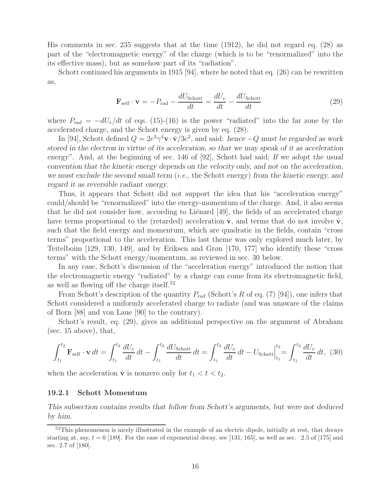His comments in sec. 235 suggests that at the time (1912), he did not regard eq. (28) as part of the "electromagnetic energy" of the charge (which is to be "renormalized" into the its effective mass), but as somehow part of its "radiation".

Schott continued his arguments in 1915 [94], where he noted that eq. (26) can be rewritten as,

$$
\mathbf{F}_{\text{self}} \cdot \mathbf{v} = -P_{\text{rad}} - \frac{dU_{\text{Schott}}}{dt} = \frac{dU_e}{dt} - \frac{dU_{\text{Schott}}}{dt}
$$
(29)

where  $P_{\text{rad}} = -dU_e/dt$  of eqs. (15)-(16) is the power "radiated" into the far zone by the accelerated charge, and the Schott energy is given by eq. (28).

In [94], Schott defined  $Q = 2e^3\gamma^4 \mathbf{v} \cdot \dot{\mathbf{v}}/3c^2$ , and said: *hence*  $-Q$  *must be regarded as work stored in the electron in virtue of its acceleration, so that we may speak of it as acceleration energy".* And, at the beginning of sec. 146 of [92], Schott had said; *If we adopt the usual convention that the kinetic energy depends on the velocity only, and not on the acceleration, we must exclude the second small term* (i.e., the Schott energy) *from the kinetic energy, and regard it as reversible radiant energy.*

Thus, it appears that Schott did not support the idea that his "acceleration energy" could/should be "renormalized" into the energy-momentum of the charge. And, it also seems that he did not consider how, according to Liénard  $[49]$ , the fields of an accelerated charge have terms proportional to the (retarded) acceleration  $\dot{\mathbf{v}}$ , and terms that do not involve  $\dot{\mathbf{v}}$ , such that the field energy and momentum, which are quadratic in the fields, contain "cross terms" proportional to the acceleration. This last theme was only explored much later, by Teitelboim [129, 130, 149], and by Eriksen and Grøn [170, 177] who identify these "cross terms" with the Schott energy/momentum, as reviewed in sec. 30 below.

In any case, Schott's discussion of the "acceleration energy" introduced the notion that the electromagnetic energy "radiated" by a charge can come from its electromagnetic field, as well as flowing off the charge itself.<sup>52</sup>

From Schott's description of the quantity  $P_{\text{rad}}$  (Schott's R of eq. (7) [94]), one infers that Schott considered a uniformly accelerated charge to radiate (and was unaware of the claims of Born [88] and von Laue [90] to the contrary).

Schott's result, eq. (29), gives an additional perspective on the argument of Abraham (sec. 15 above), that,

$$
\int_{t_1}^{t_2} \mathbf{F}_{\text{self}} \cdot \mathbf{v} \, dt = \int_{t_1}^{t_2} \frac{dU_e}{dt} \, dt - \int_{t_1}^{t_2} \frac{dU_{\text{Schott}}}{dt} \, dt = \int_{t_1}^{t_2} \frac{dU_e}{dt} \, dt - U_{\text{Schott}} \Big|_{t_1}^{t_2} = \int_{t_1}^{t_2} \frac{dU_e}{dt} \, dt, \tag{30}
$$

when the acceleration **v** is nonzero only for  $t_1 < t < t_2$ .

#### **19.2.1 Schott Momentum**

*This subsection contains results that follow from Schott's arguments, but were not deduced by him.*

<sup>&</sup>lt;sup>52</sup>This phenomenon is nicely illustrated in the example of an electric dipole, initially at rest, that decays starting at, say,  $t = 0$  [189]. For the case of exponential decay, see [131, 165], as well as sec. 2.5 of [175] and sec. 2.7 of [180].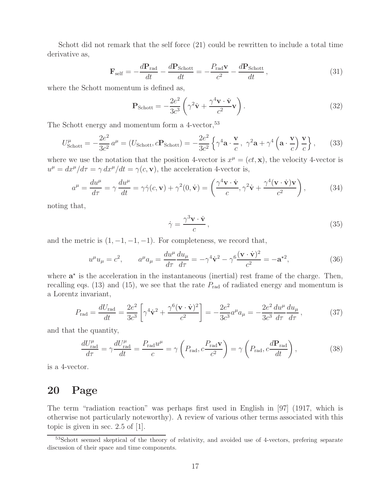Schott did not remark that the self force (21) could be rewritten to include a total time derivative as,

$$
\mathbf{F}_{\text{self}} = -\frac{d\mathbf{P}_{\text{rad}}}{dt} - \frac{d\mathbf{P}_{\text{Schott}}}{dt} = -\frac{P_{\text{rad}}\mathbf{v}}{c^2} - \frac{d\mathbf{P}_{\text{Schott}}}{dt},\tag{31}
$$

where the Schott momentum is defined as,

$$
\mathbf{P}_{\text{Schott}} = -\frac{2e^2}{3c^3} \left( \gamma^2 \dot{\mathbf{v}} + \frac{\gamma^4 \mathbf{v} \cdot \dot{\mathbf{v}}}{c^2} \mathbf{v} \right). \tag{32}
$$

The Schott energy and momentum form a  $4$ -vector,  $53$ 

$$
U_{\text{Schott}}^{\mu} = -\frac{2e^2}{3c^2} a^{\mu} = (U_{\text{Schott}}, c\mathbf{P}_{\text{Schott}}) = -\frac{2e^2}{3c^2} \left\{ \gamma^4 \mathbf{a} \cdot \frac{\mathbf{v}}{c}, \ \gamma^2 \mathbf{a} + \gamma^4 \left( \mathbf{a} \cdot \frac{\mathbf{v}}{c} \right) \frac{\mathbf{v}}{c} \right\},\tag{33}
$$

where we use the notation that the position 4-vector is  $x^{\mu} = (ct, \mathbf{x})$ , the velocity 4-vector is  $u^{\mu} = dx^{\mu}/d\tau = \gamma dx^{\mu}/dt = \gamma(c, \mathbf{v})$ , the acceleration 4-vector is,

$$
a^{\mu} = \frac{du^{\mu}}{d\tau} = \gamma \frac{du^{\mu}}{dt} = \gamma \dot{\gamma}(c, \mathbf{v}) + \gamma^2(0, \dot{\mathbf{v}}) = \left(\frac{\gamma^4 \mathbf{v} \cdot \dot{\mathbf{v}}}{c}, \gamma^2 \dot{\mathbf{v}} + \frac{\gamma^4 (\mathbf{v} \cdot \dot{\mathbf{v}}) \mathbf{v}}{c^2}\right),
$$
(34)

noting that,

$$
\dot{\gamma} = \frac{\gamma^3 \mathbf{v} \cdot \dot{\mathbf{v}}}{c},\tag{35}
$$

and the metric is  $(1, -1, -1, -1)$ . For completeness, we record that,

$$
u^{\mu}u_{\mu} = c^2, \qquad a^{\mu}a_{\mu} = \frac{du^{\mu}}{d\tau}\frac{du_{\mu}}{d\tau} = -\gamma^4 \dot{\mathbf{v}}^2 - \gamma^6 \frac{(\mathbf{v} \cdot \dot{\mathbf{v}})^2}{c^2} = -\mathbf{a}^{\star 2},\tag{36}
$$

where  $a^*$  is the acceleration in the instantaneous (inertial) rest frame of the charge. Then, recalling eqs. (13) and (15), we see that the rate  $P_{rad}$  of radiated energy and momentum is a Lorentz invariant,

$$
P_{\rm rad} = \frac{dU_{\rm rad}}{dt} = \frac{2e^2}{3c^3} \left[ \gamma^4 \dot{\mathbf{v}}^2 + \frac{\gamma^6 (\mathbf{v} \cdot \dot{\mathbf{v}})^2}{c^2} \right] = -\frac{2e^2}{3c^3} a^\mu a_\mu = -\frac{2e^2}{3c^3} \frac{du^\mu}{d\tau} \frac{du_\mu}{d\tau},\tag{37}
$$

and that the quantity,

$$
\frac{dU_{\text{rad}}^{\mu}}{d\tau} = \gamma \frac{dU_{\text{rad}}^{\mu}}{dt} = \frac{P_{\text{rad}}u^{\mu}}{c} = \gamma \left( P_{\text{rad}}, c \frac{P_{\text{rad}} \mathbf{v}}{c^2} \right) = \gamma \left( P_{\text{rad}}, c \frac{d\mathbf{P}_{\text{rad}}}{dt} \right),\tag{38}
$$

is a 4-vector.

## **20 Page**

The term "radiation reaction" was perhaps first used in English in [97] (1917, which is otherwise not particularly noteworthy). A review of various other terms associated with this topic is given in sec. 2.5 of [1].

<sup>53</sup>Schott seemed skeptical of the theory of relativity, and avoided use of 4-vectors, prefering separate discussion of their space and time components.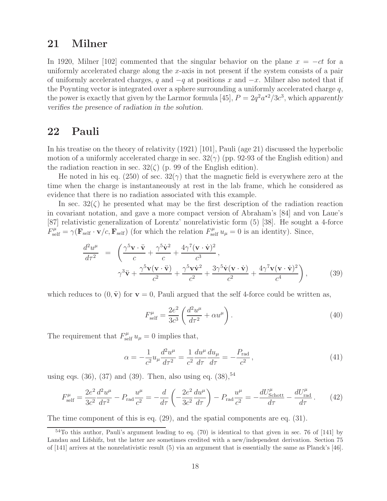# **21 Milner**

In 1920, Milner [102] commented that the singular behavior on the plane  $x = -ct$  for a uniformly accelerated charge along the x-axis in not present if the system consists of a pair of uniformly accelerated charges, q and  $-q$  at positions x and  $-x$ . Milner also noted that if the Poynting vector is integrated over a sphere surrounding a uniformly accelerated charge  $q$ , the power is exactly that given by the Larmor formula [45],  $P = 2q^2 a^{2}/3c^3$ , which *apparently verifies the presence of radiation in the solution*.

#### **22 Pauli**

In his treatise on the theory of relativity (1921) [101], Pauli (age 21) discussed the hyperbolic motion of a uniformly accelerated charge in sec.  $32(\gamma)$  (pp. 92-93 of the English edition) and the radiation reaction in sec.  $32(\zeta)$  (p. 99 of the English edition).

He noted in his eq. (250) of sec.  $32(\gamma)$  that the magnetic field is everywhere zero at the time when the charge is instantaneously at rest in the lab frame, which he considered as evidence that there is no radiation associated with this example.

In sec.  $32(\zeta)$  he presented what may be the first description of the radiation reaction in covariant notation, and gave a more compact version of Abraham's [84] and von Laue's [87] relativistic generalization of Lorentz' nonrelativistic form (5) [38]. He sought a 4-force  $F_{\text{self}}^{\mu} = \gamma (\mathbf{F}_{\text{self}} \cdot \mathbf{v}/c, \mathbf{F}_{\text{self}})$  (for which the relation  $F_{\text{self}}^{\mu} u_{\mu} = 0$  is an identity). Since,

$$
\frac{d^2u^{\mu}}{d\tau^2} = \left(\frac{\gamma^5\mathbf{v}\cdot\ddot{\mathbf{v}}}{c} + \frac{\gamma^5\dot{\mathbf{v}}^2}{c} + \frac{4\gamma^7(\mathbf{v}\cdot\dot{\mathbf{v}})^2}{c^3},\n\gamma^3\ddot{\mathbf{v}} + \frac{\gamma^5\mathbf{v}(\mathbf{v}\cdot\ddot{\mathbf{v}})}{c^2} + \frac{\gamma^5\mathbf{v}\dot{\mathbf{v}}^2}{c^2} + \frac{3\gamma^5\dot{\mathbf{v}}(\mathbf{v}\cdot\dot{\mathbf{v}})}{c^2} + \frac{4\gamma^7\mathbf{v}(\mathbf{v}\cdot\dot{\mathbf{v}})^2}{c^4}\right),
$$
\n(39)

which reduces to  $(0, \ddot{v})$  for  $v = 0$ , Pauli argued that the self 4-force could be written as,

$$
F_{\text{self}}^{\mu} = \frac{2e^2}{3c^3} \left( \frac{d^2 u^{\mu}}{d\tau^2} + \alpha u^{\mu} \right). \tag{40}
$$

The requirement that  $F_{\text{self}}^{\mu} u_{\mu} = 0$  implies that,

$$
\alpha = -\frac{1}{c^2} u_\mu \frac{d^2 u^\mu}{d\tau^2} = \frac{1}{c^2} \frac{du^\mu}{d\tau} \frac{du_\mu}{d\tau} = -\frac{P_{\text{rad}}}{c^2},\tag{41}
$$

using eqs.  $(36)$ ,  $(37)$  and  $(39)$ . Then, also using eq.  $(38)$ ,  $54$ 

$$
F_{\text{self}}^{\mu} = \frac{2e^2}{3c^2} \frac{d^2 u^{\mu}}{d\tau^2} - P_{\text{rad}} \frac{u^{\mu}}{c^2} = -\frac{d}{d\tau} \left( -\frac{2e^2}{3c^2} \frac{du^{\mu}}{d\tau} \right) - P_{\text{rad}} \frac{u^{\mu}}{c^2} = -\frac{dU_{\text{Schott}}^{\mu}}{d\tau} - \frac{dU_{\text{rad}}^{\mu}}{d\tau} \,. \tag{42}
$$

The time component of this is eq. (29), and the spatial components are eq. (31).

 $54$ To this author, Pauli's argument leading to eq. (70) is identical to that given in sec. 76 of [141] by Landau and Lifshifz, but the latter are sometimes credited with a new/independent derivation. Section 75 of [141] arrives at the nonrelativistic result (5) via an argument that is essentially the same as Planck's [46].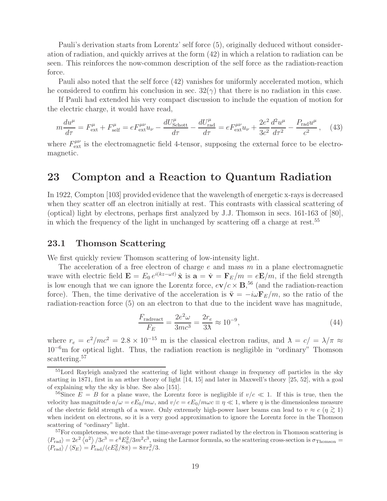Pauli's derivation starts from Lorentz' self force (5), originally deduced without consideration of radiation, and quickly arrives at the form (42) in which a relation to radiation can be seen. This reinforces the now-common description of the self force as the radiation-reaction force.

Pauli also noted that the self force (42) vanishes for uniformly accelerated motion, which he considered to confirm his conclusion in sec.  $32(\gamma)$  that there is no radiation in this case.

If Pauli had extended his very compact discussion to include the equation of motion for the electric charge, it would have read,

$$
m\frac{du^{\mu}}{d\tau} = F^{\mu}_{\text{ext}} + F^{\mu}_{\text{self}} = eF^{\mu\nu}_{\text{ext}}u_{\nu} - \frac{dU^{\mu}_{\text{Schott}}}{d\tau} - \frac{dU^{\mu}_{\text{rad}}}{d\tau} = eF^{\mu\nu}_{\text{ext}}u_{\nu} + \frac{2e^2}{3c^2}\frac{d^2u^{\mu}}{d\tau^2} - \frac{P_{\text{rad}}u^{\mu}}{c^2},\tag{43}
$$

where  $F_{\text{ext}}^{\mu\nu}$  is the electromagnetic field 4-tensor, supposing the external force to be electromagnetic.

## **23 Compton and a Reaction to Quantum Radiation**

In 1922, Compton [103] provided evidence that the wavelength of energetic x-rays is decreased when they scatter off an electron initially at rest. This contrasts with classical scattering of (optical) light by electrons, perhaps first analyzed by J.J. Thomson in secs. 161-163 of [80], in which the frequency of the light in unchanged by scattering off a charge at rest.<sup>55</sup>

#### **23.1 Thomson Scattering**

We first quickly review Thomson scattering of low-intensity light.

The acceleration of a free electron of charge  $e$  and mass  $m$  in a plane electromagnetic wave with electric field  $\mathbf{E} = E_0 e^{i(kz-\omega t)} \hat{\mathbf{x}}$  is  $\mathbf{a} = \dot{\mathbf{v}} = \mathbf{F}_E/m = e\mathbf{E}/m$ , if the field strength is low enough that we can ignore the Lorentz force,  $e\mathbf{v}/c \times \mathbf{B}$ ,<sup>56</sup> (and the radiation-reaction force). Then, the time derivative of the acceleration is  $\ddot{\mathbf{v}} = -i\omega \mathbf{F}_E/m$ , so the ratio of the radiation-reaction force (5) on an electron to that due to the incident wave has magnitude,

$$
\frac{F_{\text{radreact}}}{F_E} = \frac{2e^2\omega}{3mc^3} = \frac{2r_e}{3\lambda} \approx 10^{-9},\tag{44}
$$

where  $r_e = e^2/mc^2 = 2.8 \times 10^{-15}$  m is the classical electron radius, and  $\lambda = c/=\lambda/\pi \approx$ 10−<sup>6</sup>m for optical light. Thus, the radiation reaction is negligible in "ordinary" Thomson scattering.<sup>57</sup>

<sup>55</sup>Lord Rayleigh analyzed the scattering of light without change in frequency off particles in the sky starting in 1871, first in an æther theory of light [14, 15] and later in Maxwell's theory [25, 52], with a goal of explaining why the sky is blue. See also [151].

<sup>&</sup>lt;sup>56</sup>Since  $E = B$  for a plane wave, the Lorentz force is negligible if  $v/c \ll 1$ . If this is true, then the velocity has magnitude  $a/\omega = eE_0/m\omega$ , and  $v/c = eE_0/m\omega c \equiv \eta \ll 1$ , where  $\eta$  is the dimensionless measure of the electric field strength of a wave. Only extremely high-power laser beams can lead to  $v \approx c$  ( $\eta \gtrsim 1$ ) when incident on electrons, so it is a very good approximation to ignore the Lorentz force in the Thomson scattering of "ordinary" light.

<sup>&</sup>lt;sup>57</sup>For completeness, we note that the time-average power radiated by the electron in Thomson scattering is  $\langle P_{\text{rad}}\rangle = 2e^2 \langle a^2 \rangle / 3c^3 = e^4 E_0^2 / 3m^2 c^3$ , using the Larmor formula, so the scattering cross-section is  $\sigma_{\text{Thomson}} =$  $\langle P_{\text{rad}} \rangle / \langle S_E \rangle = P_{\text{rad}} / (c E_0^2 / 8 \pi) = 8 \pi r_e^2 / 3.$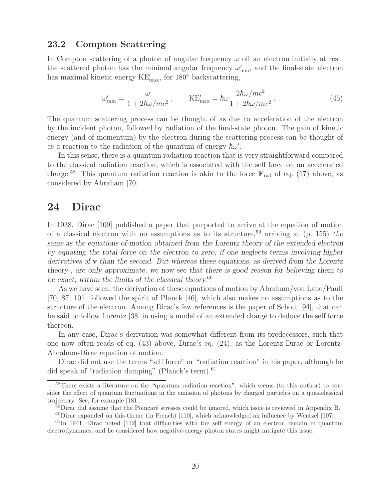#### **23.2 Compton Scattering**

In Compton scattering of a photon of angular frequency  $\omega$  off an electron initially at rest, the scattered photon has the minimal angular frequency  $\omega'_{\min}$ , and the final-state electron has maximal kinetic energy  $\text{KE}^{\prime}_{\text{max}}$ , for 180 $^{\circ}$  backscattering,

$$
\omega'_{\min} = \frac{\omega}{1 + 2\hbar\omega/mc^2}, \qquad \text{KE}'_{\max} = \hbar\omega \frac{2\hbar\omega/mc^2}{1 + 2\hbar\omega/mc^2}.
$$
\n(45)

The quantum scattering process can be thought of as due to acceleration of the electron by the incident photon, followed by radiation of the final-state photon. The gain of kinetic energy (and of momentum) by the electron during the scattering process can be thought of as a reaction to the radiation of the quantum of energy  $\hbar \omega'$ .

In this sense, there is a quantum radiation reaction that is very straightforward compared to the classical radiation reaction, which is associated with the self force on an accelerated charge.<sup>58</sup> This quantum radiation reaction is akin to the force  $\mathbf{F}_{rad}$  of eq. (17) above, as considered by Abraham [70].

## **24 Dirac**

In 1938, Dirac [109] published a paper that purported to arrive at the equation of motion of a classical electron with no assumptions as to its structure,<sup>59</sup> arriving at (p. 155) *the same as the equations of-motion obtained from the Lorentz theory of the extended electron by equating the total force on the electron to zero, if one neglects terms involving higher derivatives of* **v** *than the second. But whereas these equations, as derived from the Lorentz theory-, are only approximate, we now see that there is good reason for believing them to be exact, within the limits of the classical theory.*<sup>60</sup>

As we have seen, the derivation of these equations of motion by Abraham/von Laue/Pauli [70, 87, 101] followed the spirit of Planck [46], which also makes no assumptions as to the structure of the electron. Among Dirac's few references is the paper of Schott [94], that can be said to follow Lorentz [38] in using a model of an extended charge to deduce the self force thereon.

In any case, Dirac's derivation was somewhat different from its predecessors, such that one now often reads of eq. (43) above, Dirac's eq. (24), as the Lorentz-Dirac or Lorentz-Abraham-Dirac equation of motion.

Dirac did not use the terms "self force" or "radiation reaction" in his paper, although he did speak of "radiation damping" (Planck's term). $61$ 

<sup>&</sup>lt;sup>58</sup>There exists a literature on the "quantum radiation reaction", which seems (to this author) to consider the effect of quantum fluctuations in the emission of photons by charged particles on a quasiclassical trajectory. See, for example [181].

 $59$ Dirac did assume that the Poincaré stresses could be ignored, which issue is reviewed in Appendix B.  $^{60}$ Dirac expanded on this theme (in French) [110], which acknowledged an influence by Wentzel [107].

 $61\text{ln}$  1941, Dirac noted [112] that difficulties with the self energy of an electron remain in quantum electrodynamics, and he considered how negative-energy photon states might mitigate this issue.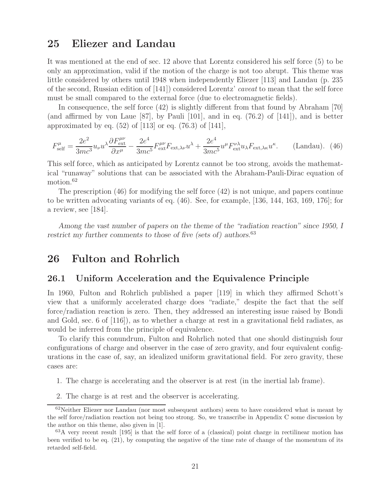# **25 Eliezer and Landau**

It was mentioned at the end of sec. 12 above that Lorentz considered his self force (5) to be only an approximation, valid if the motion of the charge is not too abrupt. This theme was little considered by others until 1948 when independently Eliezer [113] and Landau (p. 235 of the second, Russian edition of [141]) considered Lorentz' caveat to mean that the self force must be small compared to the external force (due to electromagnetic fields).

In consequence, the self force (42) is slightly different from that found by Abraham [70] (and affirmed by von Laue  $[87]$ , by Pauli  $[101]$ , and in eq. (76.2) of  $[141]$ ), and is better approximated by eq.  $(52)$  of [113] or eq.  $(76.3)$  of [141],

$$
F_{\text{self}}^{\mu} = \frac{2e^2}{3mc^3} u_{\nu} u^{\lambda} \frac{\partial F_{\text{ext}}^{\mu\nu}}{\partial x^{\mu}} - \frac{2e^4}{3mc^5} F_{\text{ext}}^{\mu\nu} F_{\text{ext},\lambda\nu} u^{\lambda} + \frac{2e^4}{3mc^5} u^{\mu} F_{\text{ext}}^{\nu\lambda} u_{\lambda} F_{\text{ext},\lambda\kappa} u^{\kappa}.
$$
 (Landau). (46)

This self force, which as anticipated by Lorentz cannot be too strong, avoids the mathematical "runaway" solutions that can be associated with the Abraham-Pauli-Dirac equation of motion.<sup>62</sup>

The prescription (46) for modifying the self force (42) is not unique, and papers continue to be written advocating variants of eq. (46). See, for example, [136, 144, 163, 169, 176]; for a review, see [184].

*Among the vast number of papers on the theme of the "radiation reaction" since 1950, I restrict my further comments to those of five (sets of) authors.*<sup>63</sup>

# **26 Fulton and Rohrlich**

#### **26.1 Uniform Acceleration and the Equivalence Principle**

In 1960, Fulton and Rohrlich published a paper [119] in which they affirmed Schott's view that a uniformly accelerated charge does "radiate," despite the fact that the self force/radiation reaction is zero. Then, they addressed an interesting issue raised by Bondi and Gold, sec. 6 of [116]), as to whether a charge at rest in a gravitational field radiates, as would be inferred from the principle of equivalence.

To clarify this conundrum, Fulton and Rohrlich noted that one should distinguish four configurations of charge and observer in the case of zero gravity, and four equivalent configurations in the case of, say, an idealized uniform gravitational field. For zero gravity, these cases are:

- 1. The charge is accelerating and the observer is at rest (in the inertial lab frame).
- 2. The charge is at rest and the observer is accelerating.

<sup>&</sup>lt;sup>62</sup>Neither Eliezer nor Landau (nor most subsequent authors) seem to have considered what is meant by the self force/radiation reaction not being too strong. So, we transcribe in Appendix C some discussion by the author on this theme, also given in [1].

<sup>&</sup>lt;sup>63</sup>A very recent result [195] is that the self force of a (classical) point charge in rectilinear motion has been verified to be eq. (21), by computing the negative of the time rate of change of the momentum of its retarded self-field.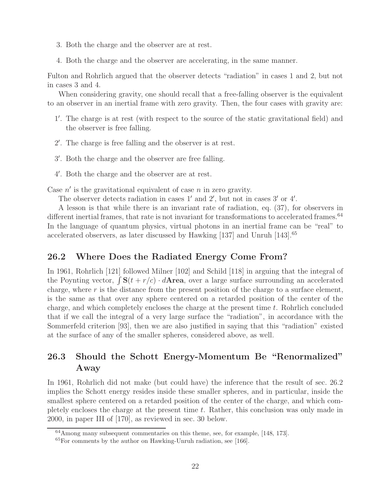- 3. Both the charge and the observer are at rest.
- 4. Both the charge and the observer are accelerating, in the same manner.

Fulton and Rohrlich argued that the observer detects "radiation" in cases 1 and 2, but not in cases 3 and 4.

When considering gravity, one should recall that a free-falling observer is the equivalent to an observer in an inertial frame with zero gravity. Then, the four cases with gravity are:

- 1- . The charge is at rest (with respect to the source of the static gravitational field) and the observer is free falling.
- 2'. The charge is free falling and the observer is at rest.
- 3'. Both the charge and the observer are free falling.
- 4- . Both the charge and the observer are at rest.

Case  $n'$  is the gravitational equivalent of case n in zero gravity.

The observer detects radiation in cases  $1'$  and  $2'$ , but not in cases  $3'$  or  $4'$ .

A lesson is that while there is an invariant rate of radiation, eq. (37), for observers in different inertial frames, that rate is not invariant for transformations to accelerated frames.<sup>64</sup> In the language of quantum physics, virtual photons in an inertial frame can be "real" to accelerated observers, as later discussed by Hawking [137] and Unruh [143].<sup>65</sup>

#### **26.2 Where Does the Radiated Energy Come From?**

In 1961, Rohrlich [121] followed Milner [102] and Schild [118] in arguing that the integral of the Poynting vector,  $\int \mathbf{S}(t + r/c) \cdot d\mathbf{Area}$ , over a large surface surrounding an accelerated charge, where  $r$  is the distance from the present position of the charge to a surface element, is the same as that over any sphere centered on a retarded position of the center of the charge, and which completely encloses the charge at the present time  $t$ . Rohrlich concluded that if we call the integral of a very large surface the "radiation", in accordance with the Sommerfeld criterion [93], then we are also justified in saying that this "radiation" existed at the surface of any of the smaller spheres, considered above, as well.

## **26.3 Should the Schott Energy-Momentum Be "Renormalized" Away**

In 1961, Rohrlich did not make (but could have) the inference that the result of sec. 26.2 implies the Schott energy resides inside these smaller spheres, and in particular, inside the smallest sphere centered on a retarded position of the center of the charge, and which completely encloses the charge at the present time  $t$ . Rather, this conclusion was only made in 2000, in paper III of [170], as reviewed in sec. 30 below.

<sup>64</sup>Among many subsequent commentaries on this theme, see, for example, [148, 173].

 ${}^{65}$ For comments by the author on Hawking-Unruh radiation, see [166].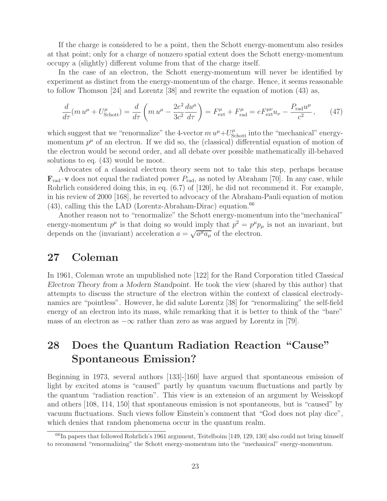If the charge is considered to be a point, then the Schott energy-momentum also resides at that point; only for a charge of nonzero spatial extent does the Schott energy-momentum occupy a (slightly) different volume from that of the charge itself.

In the case of an electron, the Schott energy-momentum will never be identified by experiment as distinct from the energy-momentum of the charge. Hence, it seems reasonable to follow Thomson [24] and Lorentz [38] and rewrite the equation of motion (43) as,

$$
\frac{d}{d\tau}(m u^{\mu} + U_{\text{Schott}}^{\mu}) = \frac{d}{d\tau}\left(m u^{\mu} - \frac{2e^2}{3c^2}\frac{du^{\mu}}{d\tau}\right) = F_{\text{ext}}^{\mu} + F_{\text{rad}}^{\mu} = eF_{\text{ext}}^{\mu\nu}u_{\nu} - \frac{P_{\text{rad}}u^{\mu}}{c^2},\qquad(47)
$$

which suggest that we "renormalize" the 4-vector  $m u^{\mu} + U_{\text{Schott}}^{\mu}$  into the "mechanical" energymomentum  $p^{\mu}$  of an electron. If we did so, the (classical) differential equation of motion of the electron would be second order, and all debate over possible mathematically ill-behaved solutions to eq. (43) would be moot.

Advocates of a classical electron theory seem not to take this step, perhaps because  $\mathbf{F}_{\text{rad}} \cdot \mathbf{v}$  does not equal the radiated power  $P_{\text{rad}}$ , as noted by Abraham [70]. In any case, while Rohrlich considered doing this, in eq. (6.7) of [120], he did not recommend it. For example, in his review of 2000 [168], he reverted to advocacy of the Abraham-Pauli equation of motion  $(43)$ , calling this the LAD (Lorentz-Abraham-Dirac) equation.<sup>66</sup>

Another reason not to "renormalize" the Schott energy-momentum into the"mechanical" energy-momentum  $p^{\mu}$  is that doing so would imply that  $p^2 = p^{\mu}p_{\mu}$  is not an invariant, but depends on the (invariant) acceleration  $a = \sqrt{a^{\mu} a_{\mu}}$  of the electron.

### **27 Coleman**

In 1961, Coleman wrote an unpublished note [122] for the Rand Corporation titled *Classical Electron Theory from a Modern Standpoint*. He took the view (shared by this author) that attempts to discuss the structure of the electron within the context of classical electrodynamics are "pointless". However, he did salute Lorentz [38] for "renormalizing" the self-field energy of an electron into its mass, while remarking that it is better to think of the "bare" mass of an electron as  $-\infty$  rather than zero as was argued by Lorentz in [79].

# **28 Does the Quantum Radiation Reaction "Cause" Spontaneous Emission?**

Beginning in 1973, several authors [133]-[160] have argued that spontaneous emission of light by excited atoms is "caused" partly by quantum vacuum fluctuations and partly by the quantum "radiation reaction". This view is an extension of an argument by Weisskopf and others [108, 114, 150] that spontaneous emission is not spontaneous, but is "caused" by vacuum fluctuations. Such views follow Einstein's comment that "God does not play dice", which denies that random phenomena occur in the quantum realm.

<sup>&</sup>lt;sup>66</sup>In papers that followed Rohrlich's 1961 argument, Teitelboim [149, 129, 130] also could not bring himself to recommend "renormalizing" the Schott energy-momentum into the "mechanical" energy-momentum.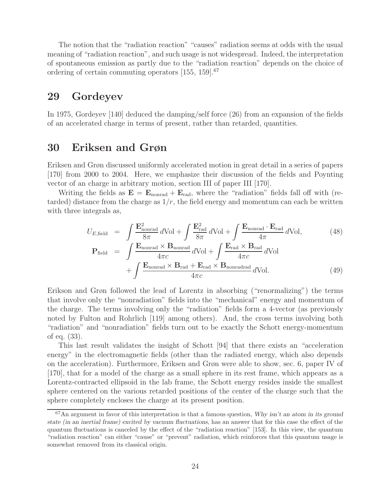The notion that the "radiation reaction" "causes" radiation seems at odds with the usual meaning of "radiation reaction", and such usage is not widespread. Indeed, the interpretation of spontaneous emission as partly due to the "radiation reaction" depends on the choice of ordering of certain commuting operators  $[155, 159]$ .<sup>67</sup>

#### **29 Gordeyev**

In 1975, Gordeyev [140] deduced the damping/self force (26) from an expansion of the fields of an accelerated charge in terms of present, rather than retarded, quantities.

## **30 Eriksen and Grøn**

Eriksen and Grøn discussed uniformly accelerated motion in great detail in a series of papers [170] from 2000 to 2004. Here, we emphasize their discussion of the fields and Poynting vector of an charge in arbitrary motion, section III of paper III [170].

Writing the fields as  $\mathbf{E} = \mathbf{E}_{\text{nonrad}} + \mathbf{E}_{\text{rad}}$ , where the "radiation" fields fall off with (retarded) distance from the charge as  $1/r$ , the field energy and momentum can each be written with three integrals as,

$$
U_{E,\text{field}} = \int \frac{\mathbf{E}_{\text{nonrad}}^2}{8\pi} d\text{Vol} + \int \frac{\mathbf{E}_{\text{rad}}^2}{8\pi} d\text{Vol} + \int \frac{\mathbf{E}_{\text{nonrad}} \cdot \mathbf{E}_{\text{rad}}}{4\pi} d\text{Vol},
$$
(48)  

$$
\mathbf{P}_{\text{field}} = \int \frac{\mathbf{E}_{\text{nonrad}} \times \mathbf{B}_{\text{nonrad}}}{4\pi c} d\text{Vol} + \int \frac{\mathbf{E}_{\text{rad}} \times \mathbf{B}_{\text{rad}}}{4\pi c} d\text{Vol}
$$

$$
+\int \frac{\mathbf{E}_{\text{nonrad}} \times \mathbf{B}_{\text{rad}} + \mathbf{E}_{\text{rad}} \times \mathbf{B}_{\text{nonradrad}}}{4\pi c} d\text{Vol}.
$$
 (49)

Erikson and Grøn followed the lead of Lorentz in absorbing ("renormalizing") the terms that involve only the "nonradiation" fields into the "mechanical" energy and momentum of the charge. The terms involving only the "radiation" fields form a 4-vector (as previously noted by Fulton and Rohrlich [119] among others). And, the cross terms involving both "radiation" and "nonradiation" fields turn out to be exactly the Schott energy-momentum of eq. (33).

This last result validates the insight of Schott [94] that there exists an "acceleration energy" in the electromagnetic fields (other than the radiated energy, which also depends on the acceleration). Furthermore, Eriksen and Grøn were able to show, sec. 6, paper IV of [170], that for a model of the charge as a small sphere in its rest frame, which appears as a Lorentz-contracted ellipsoid in the lab frame, the Schott energy resides inside the smallest sphere centered on the various retarded positions of the center of the charge such that the sphere completely encloses the charge at its present position.

<sup>67</sup>An argument in favor of this interpretation is that a famous question, *Why isn't an atom in its ground state (in an inertial frame) excited by vacuum fluctuations*, has an answer that for this case the effect of the quantum fluctuations is canceled by the effect of the "radiation reaction" [153]. In this view, the quantum "radiation reaction" can either "cause" or "prevent" radiation, which reinforces that this quantum usage is somewhat removed from its classical origin.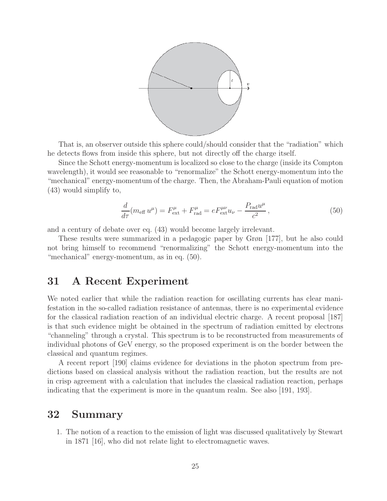

That is, an observer outside this sphere could/should consider that the "radiation" which he detects flows from inside this sphere, but not directly off the charge itself.

Since the Schott energy-momentum is localized so close to the charge (inside its Compton wavelength), it would see reasonable to "renormalize" the Schott energy-momentum into the "mechanical" energy-momentum of the charge. Then, the Abraham-Pauli equation of motion (43) would simplify to,

$$
\frac{d}{d\tau}(m_{\text{eff}}u^{\mu}) = F^{\mu}_{\text{ext}} + F^{\mu}_{\text{rad}} = eF^{\mu\nu}_{\text{ext}}u_{\nu} - \frac{P_{\text{rad}}u^{\mu}}{c^2},\tag{50}
$$

and a century of debate over eq. (43) would become largely irrelevant.

These results were summarized in a pedagogic paper by Grøn [177], but he also could not bring himself to recommend "renormalizing" the Schott energy-momentum into the "mechanical" energy-momentum, as in eq. (50).

### **31 A Recent Experiment**

We noted earlier that while the radiation reaction for oscillating currents has clear manifestation in the so-called radiation resistance of antennas, there is no experimental evidence for the classical radiation reaction of an individual electric charge. A recent proposal [187] is that such evidence might be obtained in the spectrum of radiation emitted by electrons "channeling" through a crystal. This spectrum is to be reconstructed from measurements of individual photons of GeV energy, so the proposed experiment is on the border between the classical and quantum regimes.

A recent report [190] claims evidence for deviations in the photon spectrum from predictions based on classical analysis without the radiation reaction, but the results are not in crisp agreement with a calculation that includes the classical radiation reaction, perhaps indicating that the experiment is more in the quantum realm. See also [191, 193].

## **32 Summary**

1. The notion of a reaction to the emission of light was discussed qualitatively by Stewart in 1871 [16], who did not relate light to electromagnetic waves.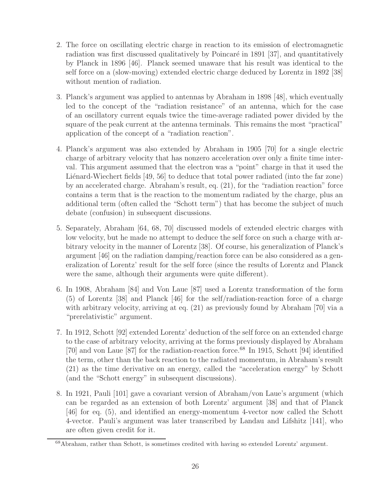- 2. The force on oscillating electric charge in reaction to its emission of electromagnetic radiation was first discussed qualitatively by Poincaré in 1891 [37], and quantitatively by Planck in 1896 [46]. Planck seemed unaware that his result was identical to the self force on a (slow-moving) extended electric charge deduced by Lorentz in 1892 [38] without mention of radiation.
- 3. Planck's argument was applied to antennas by Abraham in 1898 [48], which eventually led to the concept of the "radiation resistance" of an antenna, which for the case of an oscillatory current equals twice the time-average radiated power divided by the square of the peak current at the antenna terminals. This remains the most "practical" application of the concept of a "radiation reaction".
- 4. Planck's argument was also extended by Abraham in 1905 [70] for a single electric charge of arbitrary velocity that has nonzero acceleration over only a finite time interval. This argument assumed that the electron was a "point" charge in that it used the Liénard-Wiechert fields [49, 56] to deduce that total power radiated (into the far zone) by an accelerated charge. Abraham's result, eq. (21), for the "radiation reaction" force contains a term that is the reaction to the momentum radiated by the charge, plus an additional term (often called the "Schott term") that has become the subject of much debate (confusion) in subsequent discussions.
- 5. Separately, Abraham [64, 68, 70] discussed models of extended electric charges with low velocity, but he made no attempt to deduce the self force on such a charge with arbitrary velocity in the manner of Lorentz [38]. Of course, his generalization of Planck's argument [46] on the radiation damping/reaction force can be also considered as a generalization of Lorentz' result for the self force (since the results of Lorentz and Planck were the same, although their arguments were quite different).
- 6. In 1908, Abraham [84] and Von Laue [87] used a Lorentz transformation of the form (5) of Lorentz [38] and Planck [46] for the self/radiation-reaction force of a charge with arbitrary velocity, arriving at eq. (21) as previously found by Abraham [70] via a "prerelativistic" argument.
- 7. In 1912, Schott [92] extended Lorentz' deduction of the self force on an extended charge to the case of arbitrary velocity, arriving at the forms previously displayed by Abraham [70] and von Laue [87] for the radiation-reaction force.<sup>68</sup> In 1915, Schott [94] identified the term, other than the back reaction to the radiated momentum, in Abraham's result (21) as the time derivative on an energy, called the "acceleration energy" by Schott (and the "Schott energy" in subsequent discussions).
- 8. In 1921, Pauli [101] gave a covariant version of Abraham/von Laue's argument (which can be regarded as an extension of both Lorentz' argument [38] and that of Planck [46] for eq. (5), and identified an energy-momentum 4-vector now called the Schott 4-vector. Pauli's argument was later transcribed by Landau and Lifshitz [141], who are often given credit for it.

<sup>&</sup>lt;sup>68</sup>Abraham, rather than Schott, is sometimes credited with having so extended Lorentz' argument.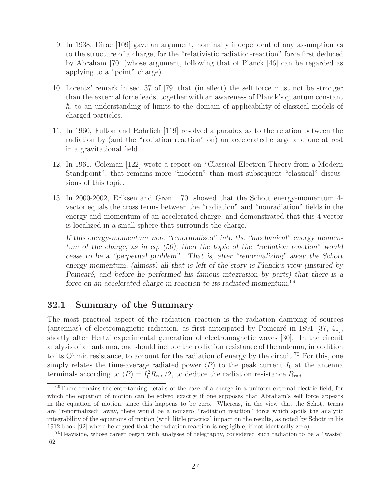- 9. In 1938, Dirac [109] gave an argument, nominally independent of any assumption as to the structure of a charge, for the "relativistic radiation-reaction" force first deduced by Abraham [70] (whose argument, following that of Planck [46] can be regarded as applying to a "point" charge).
- 10. Lorentz' remark in sec. 37 of [79] that (in effect) the self force must not be stronger than the external force leads, together with an awareness of Planck's quantum constant -, to an understanding of limits to the domain of applicability of classical models of charged particles.
- 11. In 1960, Fulton and Rohrlich [119] resolved a paradox as to the relation between the radiation by (and the "radiation reaction" on) an accelerated charge and one at rest in a gravitational field.
- 12. In 1961, Coleman [122] wrote a report on "Classical Electron Theory from a Modern Standpoint", that remains more "modern" than most subsequent "classical" discussions of this topic.
- 13. In 2000-2002, Eriksen and Grøn [170] showed that the Schott energy-momentum 4 vector equals the cross terms between the "radiation" and "nonradiation" fields in the energy and momentum of an accelerated charge, and demonstrated that this 4-vector is localized in a small sphere that surrounds the charge.

*If this energy-momentum were "renormalized" into the "mechanical" energy momentum of the charge, as in eq. (50), then the topic of the "radiation reaction" would cease to be a "perpetual problem". That is, after "renormalizing" away the Schott energy-momentum, (almost) all that is left of the story is Planck's view (inspired by Poincar´e, and before he performed his famous integration by parts) that there is a force on an accelerated charge in reaction to its radiated momentum.*<sup>69</sup>

#### **32.1 Summary of the Summary**

The most practical aspect of the radiation reaction is the radiation damping of sources (antennas) of electromagnetic radiation, as first anticipated by Poincaré in 1891 [37, 41], shortly after Hertz' experimental generation of electromagnetic waves [30]. In the circuit analysis of an antenna, one should include the radiation resistance of the antenna, in addition to its Ohmic resistance, to account for the radiation of energy by the circuit.<sup>70</sup> For this, one simply relates the time-average radiated power  $\langle P \rangle$  to the peak current  $I_0$  at the antenna terminals according to  $\langle P \rangle = I_0^2 R_{\text{rad}}/2$ , to deduce the radiation resistance  $R_{\text{rad}}$ .

<sup>69</sup>There remains the entertaining details of the case of a charge in a uniform external electric field, for which the equation of motion can be solved exactly if one supposes that Abraham's self force appears in the equation of motion, since this happens to be zero. Whereas, in the view that the Schott terms are "renormalized" away, there would be a nonzero "radiation reaction" force which spoils the analytic integrability of the equations of motion (with little practical impact on the results, as noted by Schott in his 1912 book [92] where he argued that the radiation reaction is negligible, if not identically zero).

<sup>70</sup>Heaviside, whose career began with analyses of telegraphy, considered such radiation to be a "waste" [62].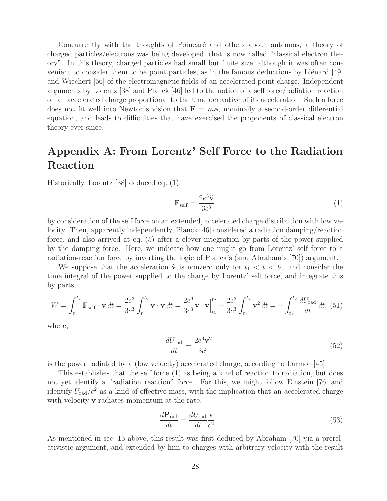Concurrently with the thoughts of Poincaré and others about antennas, a theory of charged particles/electrons was being developed, that is now called "classical electron theory". In this theory, charged particles had small but finite size, although it was often convenient to consider them to be point particles, as in the famous deductions by Liénard  $[49]$ and Wiechert [56] of the electromagnetic fields of an accelerated point charge. Independent arguments by Lorentz [38] and Planck [46] led to the notion of a self force/radiation reaction on an accelerated charge proportional to the time derivative of its acceleration. Such a force does not fit well into Newton's vision that  $\mathbf{F} = m\mathbf{a}$ , nominally a second-order differential equation, and leads to difficulties that have exercised the proponents of classical electron theory ever since.

# **Appendix A: From Lorentz' Self Force to the Radiation Reaction**

Historically, Lorentz [38] deduced eq. (1),

$$
\mathbf{F}_{\text{self}} = \frac{2e^3 \ddot{\mathbf{v}}}{3c^3} \tag{1}
$$

by consideration of the self force on an extended, accelerated charge distribution with low velocity. Then, apparently independently, Planck [46] considered a radiation damping/reaction force, and also arrived at eq. (5) after a clever integration by parts of the power supplied by the damping force. Here, we indicate how one might go from Lorentz' self force to a radiation-reaction force by inverting the logic of Planck's (and Abraham's [70]) argument.

We suppose that the acceleration **v** is nonzero only for  $t_1 < t < t_2$ , and consider the time integral of the power supplied to the charge by Lorentz' self force, and integrate this by parts,

$$
W = \int_{t_1}^{t_2} \mathbf{F}_{\text{self}} \cdot \mathbf{v} \, dt = \frac{2e^3}{3c^3} \int_{t_1}^{t_2} \ddot{\mathbf{v}} \cdot \mathbf{v} \, dt = \frac{2e^3}{3c^3} \dot{\mathbf{v}} \cdot \mathbf{v} \Big|_{t_1}^{t_2} - \frac{2e^3}{3c^3} \int_{t_1}^{t_2} \dot{\mathbf{v}}^2 \, dt = -\int_{t_1}^{t_2} \frac{dU_{\text{rad}}}{dt} \, dt, \tag{51}
$$

where,

$$
\frac{dU_{\text{rad}}}{dt} = \frac{2e^3\dot{\mathbf{v}}^2}{3c^3} \tag{52}
$$

is the power radiated by a (low velocity) accelerated charge, according to Larmor [45].

This establishes that the self force (1) as being a kind of reaction to radiation, but does not yet identify a "radiation reaction" force. For this, we might follow Einstein [76] and identify  $U_{\text{rad}}/c^2$  as a kind of effective mass, with the implication that an accelerated charge with velocity **v** radiates momentum at the rate,

$$
\frac{d\mathbf{P}_{\text{rad}}}{dt} = \frac{dU_{\text{rad}}}{dt} \frac{\mathbf{v}}{c^2} \,. \tag{53}
$$

As mentioned in sec. 15 above, this result was first deduced by Abraham [70] via a prerelativistic argument, and extended by him to charges with arbitrary velocity with the result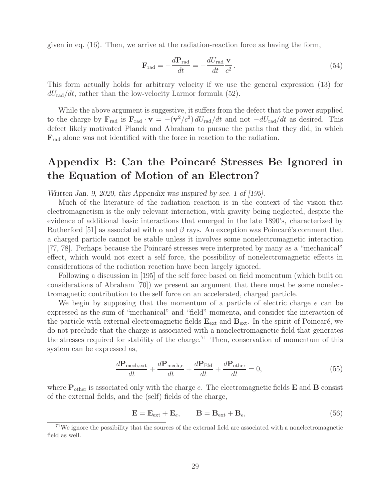given in eq. (16). Then, we arrive at the radiation-reaction force as having the form,

$$
\mathbf{F}_{\rm rad} = -\frac{d\mathbf{P}_{\rm rad}}{dt} = -\frac{dU_{\rm rad}}{dt}\frac{\mathbf{v}}{c^2}.
$$
 (54)

This form actually holds for arbitrary velocity if we use the general expression (13) for  $dU_{\text{rad}}/dt$ , rather than the low-velocity Larmor formula (52).

While the above argument is suggestive, it suffers from the defect that the power supplied to the charge by  $\mathbf{F}_{\text{rad}}$  is  $\mathbf{F}_{\text{rad}} \cdot \mathbf{v} = -(\mathbf{v}^2/c^2) dU_{\text{rad}}/dt$  and not  $-dU_{\text{rad}}/dt$  as desired. This defect likely motivated Planck and Abraham to pursue the paths that they did, in which **F**rad alone was not identified with the force in reaction to the radiation.

# Appendix B: Can the Poincaré Stresses Be Ignored in **the Equation of Motion of an Electron?**

*Written Jan. 9, 2020, this Appendix was inspired by sec. 1 of [195].*

Much of the literature of the radiation reaction is in the context of the vision that electromagnetism is the only relevant interaction, with gravity being neglected, despite the evidence of additional basic interactions that emerged in the late 1890's, characterized by Rutherford [51] as associated with  $\alpha$  and  $\beta$  rays. An exception was Poincaré's comment that a charged particle cannot be stable unless it involves some nonelectromagnetic interaction [77, 78]. Perhaps because the Poincaré stresses were interpreted by many as a "mechanical" effect, which would not exert a self force, the possibility of nonelectromagnetic effects in considerations of the radiation reaction have been largely ignored.

Following a discussion in [195] of the self force based on field momentum (which built on considerations of Abraham [70]) we present an argument that there must be some nonelectromagnetic contribution to the self force on an accelerated, charged particle.

We begin by supposing that the momentum of a particle of electric charge  $e$  can be expressed as the sum of "mechanical" and "field" momenta, and consider the interaction of the particle with external electromagnetic fields  $\mathbf{E}_{ext}$  and  $\mathbf{B}_{ext}$ . In the spirit of Poincaré, we do not preclude that the charge is associated with a nonelectromagnetic field that generates the stresses required for stability of the charge.<sup>71</sup> Then, conservation of momentum of this system can be expressed as,

$$
\frac{d\mathbf{P}_{\text{mech,ext}}}{dt} + \frac{d\mathbf{P}_{\text{mech},e}}{dt} + \frac{d\mathbf{P}_{\text{EM}}}{dt} + \frac{d\mathbf{P}_{\text{other}}}{dt} = 0,\tag{55}
$$

where  $P_{other}$  is associated only with the charge e. The electromagnetic fields  $E$  and  $B$  consist of the external fields, and the (self) fields of the charge,

$$
\mathbf{E} = \mathbf{E}_{\text{ext}} + \mathbf{E}_e, \qquad \mathbf{B} = \mathbf{B}_{\text{ext}} + \mathbf{B}_e,\tag{56}
$$

 $71$ We ignore the possibility that the sources of the external field are associated with a nonelectromagnetic field as well.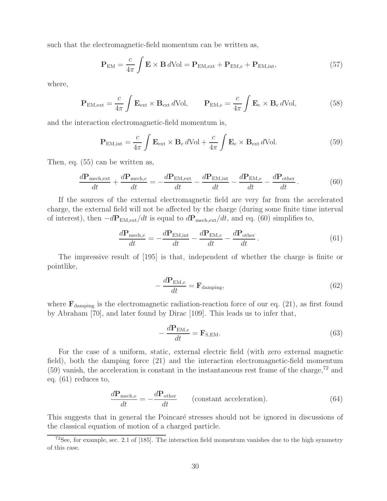such that the electromagnetic-field momentum can be written as,

$$
\mathbf{P}_{\text{EM}} = \frac{c}{4\pi} \int \mathbf{E} \times \mathbf{B} \, d\text{Vol} = \mathbf{P}_{\text{EM,ext}} + \mathbf{P}_{\text{EM},e} + \mathbf{P}_{\text{EM,int}},\tag{57}
$$

where,

$$
\mathbf{P}_{\text{EM,ext}} = \frac{c}{4\pi} \int \mathbf{E}_{\text{ext}} \times \mathbf{B}_{\text{ext}} d\text{Vol}, \qquad \mathbf{P}_{\text{EM},e} = \frac{c}{4\pi} \int \mathbf{E}_e \times \mathbf{B}_e d\text{Vol}, \tag{58}
$$

and the interaction electromagnetic-field momentum is,

$$
\mathbf{P}_{\text{EM,int}} = \frac{c}{4\pi} \int \mathbf{E}_{\text{ext}} \times \mathbf{B}_e \, d\text{Vol} + \frac{c}{4\pi} \int \mathbf{E}_e \times \mathbf{B}_{\text{ext}} \, d\text{Vol}.\tag{59}
$$

Then, eq. (55) can be written as,

$$
\frac{d\mathbf{P}_{\text{mech,ext}}}{dt} + \frac{d\mathbf{P}_{\text{mech},e}}{dt} = -\frac{d\mathbf{P}_{\text{EM,ext}}}{dt} - \frac{d\mathbf{P}_{\text{EM,int}}}{dt} - \frac{d\mathbf{P}_{\text{EM},e}}{dt} - \frac{d\mathbf{P}_{\text{other}}}{dt}.
$$
(60)

If the sources of the external electromagnetic field are very far from the accelerated charge, the external field will not be affected by the charge (during some finite time interval of interest), then −d**P**EM,ext/dt is equal to d**P**mech,ext/dt, and eq. (60) simplifies to,

$$
\frac{d\mathbf{P}_{\text{mech},e}}{dt} = -\frac{d\mathbf{P}_{\text{EM,int}}}{dt} - \frac{d\mathbf{P}_{\text{EM},e}}{dt} - \frac{d\mathbf{P}_{\text{other}}}{dt}.
$$
(61)

The impressive result of [195] is that, independent of whether the charge is finite or pointlike,

$$
-\frac{d\mathbf{P}_{\text{EM},e}}{dt} = \mathbf{F}_{\text{damping}},\tag{62}
$$

where  $\mathbf{F}_{\text{damping}}$  is the electromagnetic radiation-reaction force of our eq. (21), as first found by Abraham [70], and later found by Dirac [109]. This leads us to infer that,

$$
-\frac{d\mathbf{P}_{\text{EM},e}}{dt} = \mathbf{F}_{\text{S,EM}}.\tag{63}
$$

For the case of a uniform, static, external electric field (with zero external magnetic field), both the damping force (21) and the interaction electromagnetic-field momentum  $(59)$  vanish, the acceleration is constant in the instantaneous rest frame of the charge,<sup>72</sup> and eq. (61) reduces to,

$$
\frac{d\mathbf{P}_{\text{mech},e}}{dt} = -\frac{d\mathbf{P}_{\text{other}}}{dt} \qquad \text{(constant acceleration)}.
$$
 (64)

This suggests that in general the Poincaré stresses should not be ignored in discussions of the classical equation of motion of a charged particle.

 $72$ See, for example, sec. 2.1 of [185]. The interaction field momentum vanishes due to the high symmetry of this case.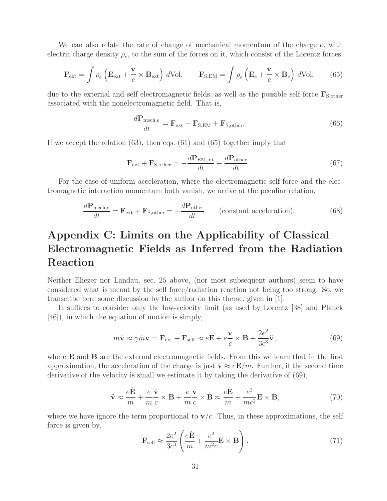We can also relate the rate of change of mechanical momentum of the charge  $e$ , with electric charge density  $\rho_e$ , to the sum of the forces on it, which consist of the Lorentz forces,

$$
\mathbf{F}_{\text{ext}} = \int \rho_e \left( \mathbf{E}_{\text{ext}} + \frac{\mathbf{v}}{c} \times \mathbf{B}_{\text{ext}} \right) d\text{Vol}, \qquad \mathbf{F}_{\text{S,EM}} = \int \rho_e \left( \mathbf{E}_e + \frac{\mathbf{v}}{c} \times \mathbf{B}_e \right) d\text{Vol}, \tag{65}
$$

due to the external and self electromagnetic fields, as well as the possible self force  $\mathbf{F}_{\text{S,other}}$ associated with the nonelectromagnetic field. That is,

$$
\frac{d\mathbf{P}_{\text{mech},e}}{dt} = \mathbf{F}_{\text{ext}} + \mathbf{F}_{\text{S,EM}} + \mathbf{F}_{\text{S,other}}.
$$
\n(66)

If we accept the relation (63), then eqs. (61) and (65) together imply that

$$
\mathbf{F}_{\text{ext}} + \mathbf{F}_{\text{S,other}} = -\frac{d\mathbf{P}_{\text{EM,int}}}{dt} - \frac{d\mathbf{P}_{\text{other}}}{dt}.
$$
 (67)

For the case of uniform acceleration, where the electromagnetic self force and the electromagnetic interaction momentum both vanish, we arrive at the peculiar relation,

$$
\frac{d\mathbf{P}_{\text{mech},e}}{dt} = \mathbf{F}_{\text{ext}} + \mathbf{F}_{\text{S,other}} = -\frac{d\mathbf{P}_{\text{other}}}{dt} \qquad \text{(constant acceleration)}.
$$
 (68)

# **Appendix C: Limits on the Applicability of Classical Electromagnetic Fields as Inferred from the Radiation Reaction**

Neither Eliezer nor Landau, sec. 25 above, (nor most subsequent authors) seem to have considered what is meant by the self force/radiation reaction not being too strong. So, we transcribe here some discussion by the author on this theme, given in [1].

It suffices to consider only the low-velocity limit (as used by Lorentz [38] and Planck [46]), in which the equation of motion is simply,

$$
m\dot{\mathbf{v}} \approx \gamma \dot{m} \mathbf{v} = \mathbf{F}_{ext} + \mathbf{F}_{self} \approx e\mathbf{E} + e\frac{\mathbf{v}}{c} \times \mathbf{B} + \frac{2e^2}{3c^3} \ddot{\mathbf{v}},\tag{69}
$$

where **E** and **B** are the external electromagnetic fields. From this we learn that in the first approximation, the acceleration of the charge is just  $\dot{\bf{v}} \approx e{\bf E}/m$ . Further, if the second time derivative of the velocity is small we estimate it by taking the derivative of (69),

$$
\ddot{\mathbf{v}} \approx \frac{e\dot{\mathbf{E}}}{m} + \frac{e}{m}\frac{\dot{\mathbf{v}}}{c} \times \mathbf{B} + \frac{e}{m}\frac{\mathbf{v}}{c} \times \dot{\mathbf{B}} \approx \frac{e\dot{\mathbf{E}}}{m} + \frac{e^2}{mc^2} \mathbf{E} \times \mathbf{B},\tag{70}
$$

where we have ignore the term proportional to  $\mathbf{v}/c$ . Thus, in these approximations, the self force is given by,

$$
\mathbf{F}_{\text{self}} \approx \frac{2e^2}{3c^3} \left( \frac{e\dot{\mathbf{E}}}{m} + \frac{e^2}{m^2 c} \mathbf{E} \times \mathbf{B} \right). \tag{71}
$$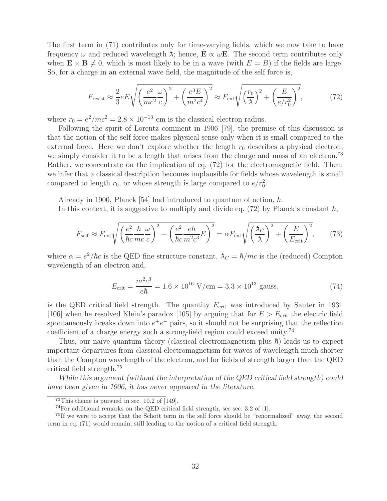The first term in (71) contributes only for time-varying fields, which we now take to have frequency  $\omega$  and reduced wavelength  $\lambda$ ; hence,  $\mathbf{E} \propto \omega \mathbf{E}$ . The second term contributes only when  $\mathbf{E} \times \mathbf{B} \neq 0$ , which is most likely to be in a wave (with  $E = B$ ) if the fields are large. So, for a charge in an external wave field, the magnitude of the self force is,

$$
F_{\rm resist} \approx \frac{2}{3} e \left[ \sqrt{\left(\frac{e^2}{mc^2} \frac{\omega}{c}\right)^2 + \left(\frac{e^3 E}{m^2 c^4}\right)^2} \approx F_{\rm ext} \sqrt{\left(\frac{r_0}{\lambda}\right)^2 + \left(\frac{E}{e/r_0^2}\right)^2},\tag{72}
$$

where  $r_0 = e^2/mc^2 = 2.8 \times 10^{-13}$  cm is the classical electron radius.

Following the spirit of Lorentz comment in 1906 [79], the premise of this discussion is that the notion of the self force makes physical sense only when it is small compared to the external force. Here we don't explore whether the length  $r_0$  describes a physical electron; we simply consider it to be a length that arises from the charge and mass of an electron.<sup>73</sup> Rather, we concentrate on the implication of eq. (72) for the electromagnetic field. Then, we infer that a classical description becomes implausible for fields whose wavelength is small compared to length  $r_0$ , or whose strength is large compared to  $e/r_0^2$ .

Already in 1900, Planck [54] had introduced to quantum of action,  $\hbar$ .

In this context, it is suggestive to multiply and divide eq. (72) by Planck's constant  $\hbar$ ,

$$
F_{\text{self}} \approx F_{\text{ext}} \sqrt{\left(\frac{e^2}{\hbar c} \frac{\hbar}{mc} \frac{\omega}{c}\right)^2 + \left(\frac{e^2}{\hbar c} \frac{e \hbar}{m^2 c^3} E\right)^2} = \alpha F_{\text{ext}} \sqrt{\left(\frac{\lambda_C}{\lambda}\right)^2 + \left(\frac{E}{E_{\text{crit}}}\right)^2},\tag{73}
$$

where  $\alpha = e^2/\hbar c$  is the QED fine structure constant,  $\lambda_C = \hbar/mc$  is the (reduced) Compton wavelength of an electron and,

$$
E_{\text{crit}} = \frac{m^2 c^3}{e\hbar} = 1.6 \times 10^{16} \text{ V/cm} = 3.3 \times 10^{13} \text{ gauss},\tag{74}
$$

is the QED critical field strength. The quantity  $E_{\text{crit}}$  was introduced by Sauter in 1931 [106] when he resolved Klein's paradox [105] by arguing that for  $E>E_{\text{crit}}$  the electric field spontaneously breaks down into  $e^+e^-$  pairs, so it should not be surprising that the reflection coefficient of a charge energy such a strong-field region could exceed unity.<sup>74</sup>

Thus, our naïve quantum theory (classical electromagnetism plus  $\hbar$ ) leads us to expect important departures from classical electromagnetism for waves of wavelength much shorter than the Compton wavelength of the electron, and for fields of strength larger than the QED critical field strength.<sup>75</sup>

*While this argument (without the interpretation of the QED critical field strength) could have been given in 1906, it has never appeared in the literature.*

<sup>73</sup>This theme is pursued in sec. 10.2 of [149].

<sup>74</sup>For additional remarks on the QED critical field strength, see sec. 3.2 of [1].

<sup>&</sup>lt;sup>75</sup>If we were to accept that the Schott term in the self force should be "renormalized" away, the second term in eq. (71) would remain, still leading to the notion of a critical field strength.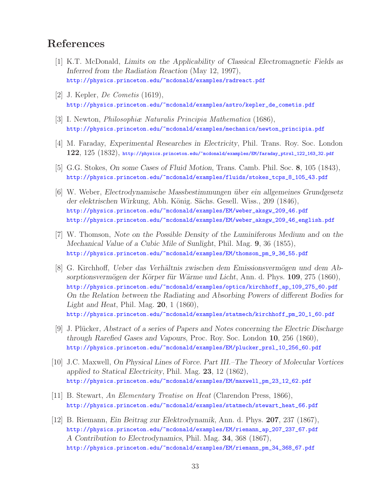# **References**

- [1] K.T. McDonald, *Limits on the Applicability of Classical Electromagnetic Fields as Inferred from the Radiation Reaction* (May 12, 1997), http://physics.princeton.edu/~mcdonald/examples/radreact.pdf
- [2] J. Kepler, De Cometis (1619), http://physics.princeton.edu/~mcdonald/examples/astro/kepler\_de\_cometis.pdf
- [3] I. Newton, Philosophiæ Naturalis Principia Mathematica (1686), http://physics.princeton.edu/~mcdonald/examples/mechanics/newton\_principia.pdf
- [4] M. Faraday, *Experimental Researches in Electricity*, Phil. Trans. Roy. Soc. London **122**, 125 (1832), http://physics.princeton.edu/~mcdonald/examples/EM/faraday\_ptrsl\_122\_163\_32.pdf
- [5] G.G. Stokes, *On some Cases of Fluid Motion*, Trans. Camb. Phil. Soc. **8**, 105 (1843), http://physics.princeton.edu/~mcdonald/examples/fluids/stokes\_tcps\_8\_105\_43.pdf
- [6] W. Weber, *Electrodynamische Massbestimmungen ¨uber ein allgemeines Grundgesetz* der elektrischen Wirkung, Abh. König. Sächs. Gesell. Wiss., 209 (1846), http://physics.princeton.edu/~mcdonald/examples/EM/weber\_aksgw\_209\_46.pdf http://physics.princeton.edu/~mcdonald/examples/EM/weber\_aksgw\_209\_46\_english.pdf
- [7] W. Thomson, *Note on the Possible Density of the Luminiferous Medium and on the Mechanical Value of a Cubic Mile of Sunlight*, Phil. Mag. **9**, 36 (1855), http://physics.princeton.edu/~mcdonald/examples/EM/thomson\_pm\_9\_36\_55.pdf
- [8] G. Kirchhoff, *Ueber das Verhältnis zwischen dem Emissionsvermögen und dem Absorptionsverm¨ogen der K¨orper f¨ur W¨arme und Licht*, Ann. d. Phys. **109**, 275 (1860), http://physics.princeton.edu/~mcdonald/examples/optics/kirchhoff\_ap\_109\_275\_60.pdf *On the Relation between the Radiating and Absorbing Powers of different Bodies for Light and Heat*, Phil. Mag. **20**, 1 (1860), http://physics.princeton.edu/~mcdonald/examples/statmech/kirchhoff\_pm\_20\_1\_60.pdf
- [9] J. Plücker, *Abstract of a series of Papers and Notes concerning the Electric Discharge through Rarefied Gases and Vapours*, Proc. Roy. Soc. London **10**, 256 (1860), http://physics.princeton.edu/~mcdonald/examples/EM/plucker\_prsl\_10\_256\_60.pdf
- [10] J.C. Maxwell, *On Physical Lines of Force. Part III.–The Theory of Molecular Vortices applied to Statical Electricity*, Phil. Mag. **23**, 12 (1862), http://physics.princeton.edu/~mcdonald/examples/EM/maxwell\_pm\_23\_12\_62.pdf
- [11] B. Stewart, An Elementary Treatise on Heat (Clarendon Press, 1866), http://physics.princeton.edu/~mcdonald/examples/statmech/stewart\_heat\_66.pdf
- [12] B. Riemann, *Ein Beitrag zur Elektrodynamik*, Ann. d. Phys. **207**, 237 (1867), http://physics.princeton.edu/~mcdonald/examples/EM/riemann\_ap\_207\_237\_67.pdf *A Contribution to Electrodynamics*, Phil. Mag. **34**, 368 (1867), http://physics.princeton.edu/~mcdonald/examples/EM/riemann\_pm\_34\_368\_67.pdf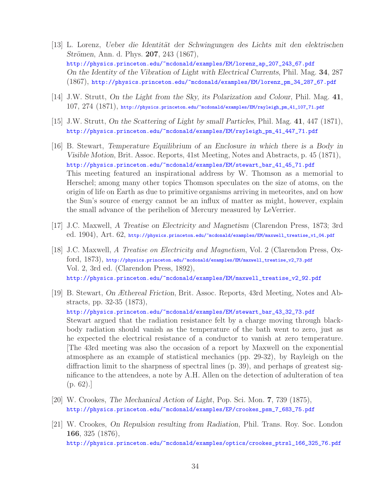- [13] L. Lorenz, *Ueber die Identit¨at der Schwingungen des Lichts mit den elektrischen Strömen*, Ann. d. Phys. **207**, 243 (1867), http://physics.princeton.edu/~mcdonald/examples/EM/lorenz\_ap\_207\_243\_67.pdf *On the Identity of the Vibration of Light with Electrical Currents*, Phil. Mag. **34**, 287 (1867), http://physics.princeton.edu/~mcdonald/examples/EM/lorenz\_pm\_34\_287\_67.pdf
- [14] J.W. Strutt, *On the Light from the Sky, its Polarization and Colour*, Phil. Mag. **41**,  $107,\ 274\ (1871),$  http://physics.princeton.edu/~mcdonald/examples/EM/rayleigh\_pm\_41\_107\_71.pdf
- [15] J.W. Strutt, *On the Scattering of Light by small Particles*, Phil. Mag. **41**, 447 (1871), http://physics.princeton.edu/~mcdonald/examples/EM/rayleigh\_pm\_41\_447\_71.pdf
- [16] B. Stewart, *Temperature Equilibrium of an Enclosure in which there is a Body in Visible Motion*, Brit. Assoc. Reports, 41st Meeting, Notes and Abstracts, p. 45 (1871), http://physics.princeton.edu/~mcdonald/examples/EM/stewart\_bar\_41\_45\_71.pdf This meeting featured an inspirational address by W. Thomson as a memorial to Herschel; among many other topics Thomson speculates on the size of atoms, on the origin of life on Earth as due to primitive organisms arriving in meteorites, and on how the Sun's source of energy cannot be an influx of matter as might, however, explain the small advance of the perihelion of Mercury measured by LeVerrier.
- [17] J.C. Maxwell, *A Treatise on Electricity and Magnetism* (Clarendon Press, 1873; 3rd ed. 1904), Art. 62, http://physics.princeton.edu/~mcdonald/examples/EM/maxwell\_treatise\_v1\_04.pdf
- [18] J.C. Maxwell, A Treatise on Electricity and Magnetism, Vol. 2 (Clarendon Press, Oxford, 1873), http://physics.princeton.edu/~mcdonald/examples/EM/maxwell\_treatise\_v2\_73.pdf Vol. 2, 3rd ed. (Clarendon Press, 1892), http://physics.princeton.edu/~mcdonald/examples/EM/maxwell\_treatise\_v2\_92.pdf
- [19] B. Stewart, *On Æthereal Friction*, Brit. Assoc. Reports, 43rd Meeting, Notes and Abstracts, pp. 32-35 (1873), http://physics.princeton.edu/~mcdonald/examples/EM/stewart\_bar\_43\_32\_73.pdf Stewart argued that the radiation resistance felt by a charge moving through blackbody radiation should vanish as the temperature of the bath went to zero, just as he expected the electrical resistance of a conductor to vanish at zero temperature. [The 43rd meeting was also the occasion of a report by Maxwell on the exponential atmosphere as an example of statistical mechanics (pp. 29-32), by Rayleigh on the diffraction limit to the sharpness of spectral lines (p. 39), and perhaps of greatest significance to the attendees, a note by A.H. Allen on the detection of adulteration of tea  $(p. 62).$
- [20] W. Crookes, *The Mechanical Action of Light*, Pop. Sci. Mon. **7**, 739 (1875), http://physics.princeton.edu/~mcdonald/examples/EP/crookes\_psm\_7\_683\_75.pdf
- [21] W. Crookes, *On Repulsion resulting from Radiation*, Phil. Trans. Roy. Soc. London **166**, 325 (1876), http://physics.princeton.edu/~mcdonald/examples/optics/crookes\_ptrsl\_166\_325\_76.pdf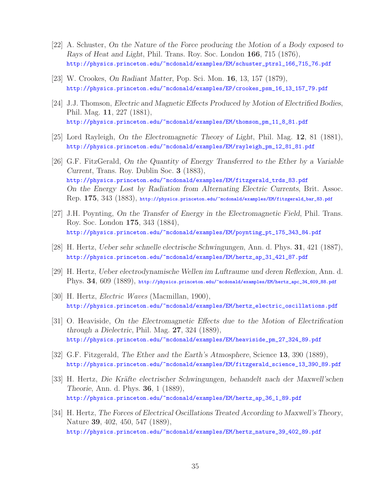- [22] A. Schuster, *On the Nature of the Force producing the Motion of a Body exposed to Rays of Heat and Light*, Phil. Trans. Roy. Soc. London **166**, 715 (1876), http://physics.princeton.edu/~mcdonald/examples/EM/schuster\_ptrsl\_166\_715\_76.pdf
- [23] W. Crookes, *On Radiant Matter*, Pop. Sci. Mon. **16**, 13, 157 (1879), http://physics.princeton.edu/~mcdonald/examples/EP/crookes\_psm\_16\_13\_157\_79.pdf
- [24] J.J. Thomson, *Electric and Magnetic Effects Produced by Motion of Electrified Bodies*, Phil. Mag. **11**, 227 (1881), http://physics.princeton.edu/~mcdonald/examples/EM/thomson\_pm\_11\_8\_81.pdf
- [25] Lord Rayleigh, *On the Electromagnetic Theory of Light*, Phil. Mag. **12**, 81 (1881), http://physics.princeton.edu/~mcdonald/examples/EM/rayleigh\_pm\_12\_81\_81.pdf
- [26] G.F. FitzGerald, *On the Quantity of Energy Transferred to the Ether by a Variable Current*, Trans. Roy. Dublin Soc. **3** (1883), http://physics.princeton.edu/~mcdonald/examples/EM/fitzgerald\_trds\_83.pdf *On the Energy Lost by Radiation from Alternating Electric Currents*, Brit. Assoc. Rep. **175**, 343 (1883), http://physics.princeton.edu/~mcdonald/examples/EM/fitzgerald\_bar\_83.pdf
- [27] J.H. Poynting, *On the Transfer of Energy in the Electromagnetic Field*, Phil. Trans. Roy. Soc. London **175**, 343 (1884), http://physics.princeton.edu/~mcdonald/examples/EM/poynting\_pt\_175\_343\_84.pdf
- [28] H. Hertz, *Ueber sehr schnelle electrische Schwingungen*, Ann. d. Phys. **31**, 421 (1887), http://physics.princeton.edu/~mcdonald/examples/EM/hertz\_ap\_31\_421\_87.pdf
- [29] H. Hertz, *Ueber electrodynamische Wellen im Luftraume und deren Reflexion*, Ann. d. Phys. **34**, 609 (1889), http://physics.princeton.edu/~mcdonald/examples/EM/hertz\_apc\_34\_609\_88.pdf
- [30] H. Hertz, Electric Waves (Macmillan, 1900), http://physics.princeton.edu/~mcdonald/examples/EM/hertz\_electric\_oscillations.pdf
- [31] O. Heaviside, *On the Electromagnetic Effects due to the Motion of Electrification through a Dielectric*, Phil. Mag. **27**, 324 (1889), http://physics.princeton.edu/~mcdonald/examples/EM/heaviside\_pm\_27\_324\_89.pdf
- [32] G.F. Fitzgerald, *The Ether and the Earth's Atmosphere*, Science **13**, 390 (1889), http://physics.princeton.edu/~mcdonald/examples/EM/fitzgerald\_science\_13\_390\_89.pdf
- [33] H. Hertz, *Die Kr¨afte electrischer Schwingungen, behandelt nach der Maxwell'schen Theorie*, Ann. d. Phys. **36**, 1 (1889), http://physics.princeton.edu/~mcdonald/examples/EM/hertz\_ap\_36\_1\_89.pdf
- [34] H. Hertz, *The Forces of Electrical Oscillations Treated According to Maxwell's Theory*, Nature **39**, 402, 450, 547 (1889), http://physics.princeton.edu/~mcdonald/examples/EM/hertz\_nature\_39\_402\_89.pdf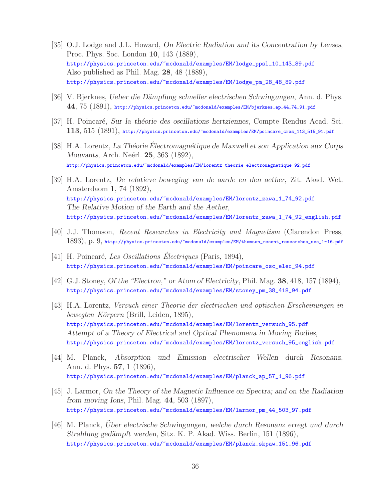- [35] O.J. Lodge and J.L. Howard, *On Electric Radiation and its Concentration by Lenses*, Proc. Phys. Soc. London **10**, 143 (1889), http://physics.princeton.edu/~mcdonald/examples/EM/lodge\_ppsl\_10\_143\_89.pdf Also published as Phil. Mag. **28**, 48 (1889), http://physics.princeton.edu/~mcdonald/examples/EM/lodge\_pm\_28\_48\_89.pdf
- [36] V. Bjerknes, *Ueber die Dämpfung schneller electrischen Schwingungen*, Ann. d. Phys. **44**, 75 (1891), http://physics.princeton.edu/~mcdonald/examples/EM/bjerknes\_ap\_44\_74\_91.pdf
- [37] H. Poincar´e, *Sur la th´eorie des oscillations hertziennes*, Compte Rendus Acad. Sci. **113**, 515 (1891), http://physics.princeton.edu/~mcdonald/examples/EM/poincare\_cras\_113\_515\_91.pdf
- [38] H.A. Lorentz, *La Théorie Électromagnétique de Maxwell et son Application aux Corps Mouvants*, Arch. Neérl. **25**, 363 (1892), http://physics.princeton.edu/~mcdonald/examples/EM/lorentz\_theorie\_electromagnetique\_92.pdf
- [39] H.A. Lorentz, *De relatieve beweging van de aarde en den aether*, Zit. Akad. Wet. Amsterdaom **1**, 74 (1892), http://physics.princeton.edu/~mcdonald/examples/EM/lorentz\_zawa\_1\_74\_92.pdf *The Relative Motion of the Earth and the Aether*, http://physics.princeton.edu/~mcdonald/examples/EM/lorentz\_zawa\_1\_74\_92\_english.pdf
- [40] J.J. Thomson, Recent Researches in Electricity and Magnetism (Clarendon Press, 1893), p. 9, http://physics.princeton.edu/~mcdonald/examples/EM/thomson\_recent\_researches\_sec\_1-16.pdf
- [41] H. Poincaré, Les Oscillations Électriques (Paris, 1894), http://physics.princeton.edu/~mcdonald/examples/EM/poincare\_osc\_elec\_94.pdf
- [42] G.J. Stoney, *Of the "Electron," or Atom of Electricity*, Phil. Mag. **38**, 418, 157 (1894), http://physics.princeton.edu/~mcdonald/examples/EM/stoney\_pm\_38\_418\_94.pdf
- [43] H.A. Lorentz, Versuch einer Theorie der electrischen und optischen Erscheinungen in bewegten Körpern (Brill, Leiden, 1895), http://physics.princeton.edu/~mcdonald/examples/EM/lorentz\_versuch\_95.pdf *Attempt of a Theory of Electrical and Optical Phenomena in Moving Bodies*, http://physics.princeton.edu/~mcdonald/examples/EM/lorentz\_versuch\_95\_english.pdf
- [44] M. Planck, *Absorption und Emission electrischer Wellen durch Resonanz*, Ann. d. Phys. **57**, 1 (1896), http://physics.princeton.edu/~mcdonald/examples/EM/planck\_ap\_57\_1\_96.pdf
- [45] J. Larmor, *On the Theory of the Magnetic Influence on Spectra; and on the Radiation from moving Ions*, Phil. Mag. **44**, 503 (1897), http://physics.princeton.edu/~mcdonald/examples/EM/larmor\_pm\_44\_503\_97.pdf
- [46] M. Planck, *Uber electrische Schwingungen, welche durch Resonanz erregt und durch ¨ Strahlung ged¨ampft werden*, Sitz. K. P. Akad. Wiss. Berlin, 151 (1896), http://physics.princeton.edu/~mcdonald/examples/EM/planck\_skpaw\_151\_96.pdf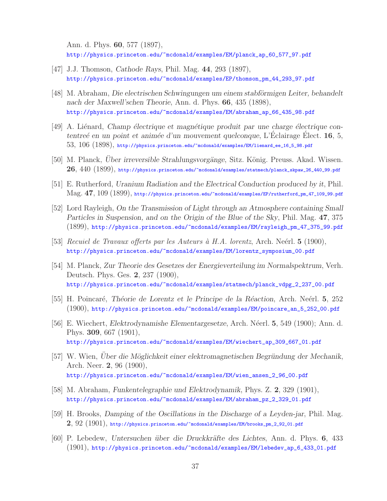Ann. d. Phys. **60**, 577 (1897), http://physics.princeton.edu/~mcdonald/examples/EM/planck\_ap\_60\_577\_97.pdf

- [47] J.J. Thomson, *Cathode Rays*, Phil. Mag. **44**, 293 (1897), http://physics.princeton.edu/~mcdonald/examples/EP/thomson\_pm\_44\_293\_97.pdf
- [48] M. Abraham, *Die electrischen Schwingungen um einem stabförmigen Leiter, behandelt nach der Maxwell'schen Theorie*, Ann. d. Phys. **66**, 435 (1898), http://physics.princeton.edu/~mcdonald/examples/EM/abraham\_ap\_66\_435\_98.pdf
- [49] A. Li´enard, *Champ ´electrique et magn´etique produit par une charge ´electrique contentreé en un point et animée d'un mouvement quelconque*, L'Éclairage Élect. **16**, 5, 53, 106 (1898), http://physics.princeton.edu/~mcdonald/examples/EM/lienard\_ee\_16\_5\_98.pdf
- [50] M. Planck, *Über irreversible Strahlungsvorgänge*, Sitz. König. Preuss. Akad. Wissen. **26**, 440 (1899), http://physics.princeton.edu/~mcdonald/examples/statmech/planck\_skpaw\_26\_440\_99.pdf
- [51] E. Rutherford, *Uranium Radiation and the Electrical Conduction produced by it*, Phil. Mag. **47**, 109 (1899), http://physics.princeton.edu/~mcdonald/examples/EP/rutherford\_pm\_47\_109\_99.pdf
- [52] Lord Rayleigh, *On the Transmission of Light through an Atmosphere containing Small Particles in Suspension, and on the Origin of the Blue of the Sky*, Phil. Mag. **47**, 375 (1899), http://physics.princeton.edu/~mcdonald/examples/EM/rayleigh\_pm\_47\_375\_99.pdf
- [53] Recuiel de Travaux offerts par les Auteurs `a H.A. lorentz, Arch. Ne´erl. **5** (1900), http://physics.princeton.edu/~mcdonald/examples/EM/lorentz\_symposium\_00.pdf
- [54] M. Planck, *Zur Theorie des Gesetzes der Energieverteilung im Normalspektrum*, Verh. Deutsch. Phys. Ges. **2**, 237 (1900), http://physics.princeton.edu/~mcdonald/examples/statmech/planck\_vdpg\_2\_237\_00.pdf
- [55] H. Poincar´e, *Th´eorie de Lorentz et le Principe de la R´eaction*, Arch. Ne´erl. **5**, 252 (1900), http://physics.princeton.edu/~mcdonald/examples/EM/poincare\_an\_5\_252\_00.pdf
- [56] E. Wiechert, *Elektrodynamishe Elementargesetze*, Arch. Néerl. **5**, 549 (1900); Ann. d. Phys. **309**, 667 (1901), http://physics.princeton.edu/~mcdonald/examples/EM/wiechert\_ap\_309\_667\_01.pdf
- [57] W. Wien, *Über die Möglichkeit einer elektromagnetischen Begründung der Mechanik*, Arch. Neer. **2**, 96 (1900), http://physics.princeton.edu/~mcdonald/examples/EM/wien\_ansen\_2\_96\_00.pdf
- [58] M. Abraham, *Funkentelegraphie und Elektrodynamik*, Phys. Z. **2**, 329 (1901), http://physics.princeton.edu/~mcdonald/examples/EM/abraham\_pz\_2\_329\_01.pdf
- [59] H. Brooks, *Damping of the Oscillations in the Discharge of a Leyden-jar*, Phil. Mag. **2**, 92 (1901), http://physics.princeton.edu/~mcdonald/examples/EM/brooks\_pm\_2\_92\_01.pdf
- [60] P. Lebedew, *Untersuchen ¨uber die Druckkr¨afte des Lichtes*, Ann. d. Phys. **6**, 433 (1901), http://physics.princeton.edu/~mcdonald/examples/EM/lebedev\_ap\_6\_433\_01.pdf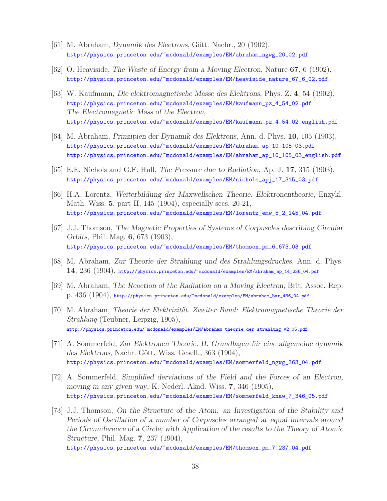- [61] M. Abraham, *Dynamik des Electrons*, Gött. Nachr., 20 (1902), http://physics.princeton.edu/~mcdonald/examples/EM/abraham\_ngwg\_20\_02.pdf
- [62] O. Heaviside, *The Waste of Energy from a Moving Electron*, Nature **67**, 6 (1902), http://physics.princeton.edu/~mcdonald/examples/EM/heaviside\_nature\_67\_6\_02.pdf
- [63] W. Kaufmann, *Die elektromagnetische Masse des Elektrons*, Phys. Z. **4**, 54 (1902), http://physics.princeton.edu/~mcdonald/examples/EM/kaufmann\_pz\_4\_54\_02.pdf *The Electromagnetic Mass of the Electron*, http://physics.princeton.edu/~mcdonald/examples/EM/kaufmann\_pz\_4\_54\_02\_english.pdf
- [64] M. Abraham, *Prinzipien der Dynamik des Elektrons*, Ann. d. Phys. **10**, 105 (1903), http://physics.princeton.edu/~mcdonald/examples/EM/abraham\_ap\_10\_105\_03.pdf http://physics.princeton.edu/~mcdonald/examples/EM/abraham\_ap\_10\_105\_03\_english.pdf
- [65] E.E. Nichols and G.F. Hull, *The Pressure due to Radiation*, Ap. J. **17**, 315 (1903), http://physics.princeton.edu/~mcdonald/examples/EM/nichols\_apj\_17\_315\_03.pdf
- [66] H.A. Lorentz, *Weiterbildung der Maxwellschen Theorie. Elektronentheorie*, Enzykl. Math. Wiss. **5**, part II, 145 (1904), especially secs. 20-21, http://physics.princeton.edu/~mcdonald/examples/EM/lorentz\_emw\_5\_2\_145\_04.pdf
- [67] J.J. Thomson, *The Magnetic Properties of Systems of Corpuscles describing Circular Orbits*, Phil. Mag. **6**, 673 (1903), http://physics.princeton.edu/~mcdonald/examples/EM/thomson\_pm\_6\_673\_03.pdf
- [68] M. Abraham, *Zur Theorie der Strahlung und des Strahlungsdruckes*, Ann. d. Phys. **14**, 236 (1904), http://physics.princeton.edu/~mcdonald/examples/EM/abraham\_ap\_14\_236\_04.pdf
- [69] M. Abraham, *The Reaction of the Radiation on a Moving Electron*, Brit. Assoc. Rep. p. 436 (1904), http://physics.princeton.edu/~mcdonald/examples/EM/abraham\_bar\_436\_04.pdf
- [70] M. Abraham, *Theorie der Elektrizität. Zweiter Band: Elektromagnetische Theorie der* Strahlung (Teubner, Leipzig, 1905), http://physics.princeton.edu/~mcdonald/examples/EM/abraham\_theorie\_der\_strahlung\_v2\_05.pdf
- [71] A. Sommerfeld, *Zur Elektronen Theorie. II. Grundlagen f¨ur eine allgemeine dynamik* des Elektrons, Nachr. Gött. Wiss. Gesell., 363 (1904), http://physics.princeton.edu/~mcdonald/examples/EM/sommerfeld\_ngwg\_363\_04.pdf
- [72] A. Sommerfeld, *Simplified derviations of the Field and the Forces of an Electron, moving in any given way*, K. Nederl. Akad. Wiss. **7**, 346 (1905), http://physics.princeton.edu/~mcdonald/examples/EM/sommerfeld\_knaw\_7\_346\_05.pdf
- [73] J.J. Thomson, *On the Structure of the Atom: an Investigation of the Stability and Periods of Oscillation of a number of Corpuscles arranged at equal intervals around the Circumference of a Circle; with Application of the results to the Theory of Atomic Structure*, Phil. Mag. **7**, 237 (1904),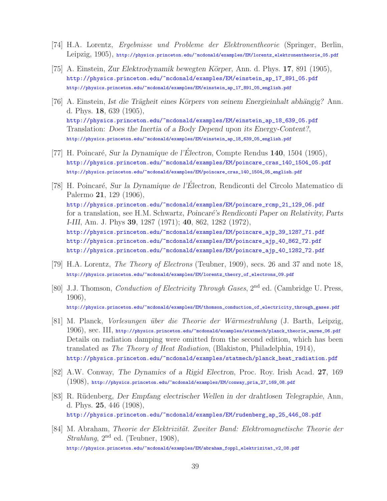- [74] H.A. Lorentz, Ergebnisse und Probleme der Elektronentheorie (Springer, Berlin, Leipzig, 1905), http://physics.princeton.edu/~mcdonald/examples/EM/lorentz\_elektronentheorie\_05.pdf
- [75] A. Einstein, *Zur Elektrodynamik bewegten K¨orper*, Ann. d. Phys. **17**, 891 (1905), http://physics.princeton.edu/~mcdonald/examples/EM/einstein\_ap\_17\_891\_05.pdf http://physics.princeton.edu/~mcdonald/examples/EM/einstein\_ap\_17\_891\_05\_english.pdf
- [76] A. Einstein, *Ist die Trägheit eines Körpers von seinem Energieinhalt abhängig*? Ann. d. Phys. **18**, 639 (1905), http://physics.princeton.edu/~mcdonald/examples/EM/einstein\_ap\_18\_639\_05.pdf Translation: *Does the Inertia of a Body Depend upon its Energy-Content?*, http://physics.princeton.edu/~mcdonald/examples/EM/einstein\_ap\_18\_639\_05\_english.pdf
- [77] H. Poincar´e, *Sur la Dynamique de l'Electron ´* , Compte Rendus **140**, 1504 (1905), http://physics.princeton.edu/~mcdonald/examples/EM/poincare\_cras\_140\_1504\_05.pdf http://physics.princeton.edu/~mcdonald/examples/EM/poincare\_cras\_140\_1504\_05\_english.pdf
- [78] H. Poincar´e, *Sur la Dynamique de l'Electron ´* , Rendiconti del Circolo Matematico di Palermo **21**, 129 (1906), http://physics.princeton.edu/~mcdonald/examples/EM/poincare\_rcmp\_21\_129\_06.pdf for a translation, see H.M. Schwartz, *Poincaré's Rendiconti Paper on Relativity*, *Parts I-III*, Am. J. Phys **39**, 1287 (1971); **40**, 862, 1282 (1972), http://physics.princeton.edu/~mcdonald/examples/EM/poincare\_ajp\_39\_1287\_71.pdf http://physics.princeton.edu/~mcdonald/examples/EM/poincare\_ajp\_40\_862\_72.pdf http://physics.princeton.edu/~mcdonald/examples/EM/poincare\_ajp\_40\_1282\_72.pdf
- [79] H.A. Lorentz, The Theory of Electrons (Teubner, 1909), secs. 26 and 37 and note 18, http://physics.princeton.edu/~mcdonald/examples/EM/lorentz\_theory\_of\_electrons\_09.pdf
- [80] J.J. Thomson, *Conduction of Electricity Through Gases*, 2<sup>nd</sup> ed. (Cambridge U. Press, 1906), http://physics.princeton.edu/~mcdonald/examples/EM/thomson\_conduction\_of\_electricity\_through\_gases.pdf
- [81] M. Planck, *Vorlesungen über die Theorie der Wärmestrahlung* (J. Barth, Leipzig,  $1906)$ , SeC.  $\text{III},$  http://physics.princeton.edu/~mcdonald/examples/statmech/planck\_theorie\_warme\_06.pdf Details on radiation damping were omitted from the second edition, which has been translated as The Theory of Heat Radiation, (Blakiston, Philadelphia, 1914), http://physics.princeton.edu/~mcdonald/examples/statmech/planck\_heat\_radiation.pdf
- [82] A.W. Conway, *The Dynamics of a Rigid Electron*, Proc. Roy. Irish Acad. **27**, 169 (1908), http://physics.princeton.edu/~mcdonald/examples/EM/conway\_pria\_27\_169\_08.pdf
- [83] R. R¨udenberg, *Der Empfang electrischer Wellen in der drahtlosen Telegraphie*, Ann, d. Phys. **25**, 446 (1908), http://physics.princeton.edu/~mcdonald/examples/EM/rudenberg\_ap\_25\_446\_08.pdf
- [84] M. Abraham, Theorie der Elektrizität. Zweiter Band: Elektromagnetische Theorie der *Strahlung*,  $2<sup>nd</sup>$  ed. (Teubner, 1908), http://physics.princeton.edu/~mcdonald/examples/EM/abraham\_foppl\_elektrizitat\_v2\_08.pdf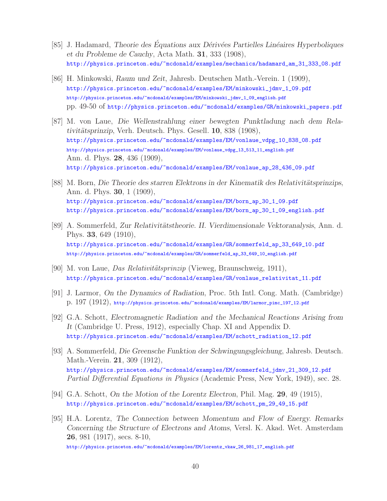- [85] J. Hadamard, *Theorie des Équations aux Dérivées Partielles Linéaires Hyperboliques et du Probleme de Cauchy*, Acta Math. **31**, 333 (1908), http://physics.princeton.edu/~mcdonald/examples/mechanics/hadamard\_am\_31\_333\_08.pdf
- [86] H. Minkowski, *Raum und Zeit*, Jahresb. Deutschen Math.-Verein. 1 (1909), http://physics.princeton.edu/~mcdonald/examples/EM/minkowski\_jdmv\_1\_09.pdf http://physics.princeton.edu/~mcdonald/examples/EM/minkowski\_jdmv\_1\_09\_english.pdf pp. 49-50 of http://physics.princeton.edu/~mcdonald/examples/GR/minkowski\_papers.pdf
- [87] M. von Laue, *Die Wellenstrahlung einer bewegten Punktladung nach dem Relativit¨atsprinzip*, Verh. Deutsch. Phys. Gesell. **10**, 838 (1908), http://physics.princeton.edu/~mcdonald/examples/EM/vonlaue\_vdpg\_10\_838\_08.pdf http://physics.princeton.edu/~mcdonald/examples/EM/vonlaue\_vdpg\_13\_513\_11\_english.pdf Ann. d. Phys. **28**, 436 (1909), http://physics.princeton.edu/~mcdonald/examples/EM/vonlaue\_ap\_28\_436\_09.pdf
- [88] M. Born, *Die Theorie des starren Elektrons in der Kinematik des Relativitätsprinzips*, Ann. d. Phys. **30**, 1 (1909), http://physics.princeton.edu/~mcdonald/examples/EM/born\_ap\_30\_1\_09.pdf http://physics.princeton.edu/~mcdonald/examples/EM/born\_ap\_30\_1\_09\_english.pdf
- [89] A. Sommerfeld, *Zur Relativitätstheorie. II. Vierdimensionale Vektoranalysis*, Ann. d. Phys. **33**, 649 (1910), http://physics.princeton.edu/~mcdonald/examples/GR/sommerfeld\_ap\_33\_649\_10.pdf http://physics.princeton.edu/~mcdonald/examples/GR/sommerfeld\_ap\_33\_649\_10\_english.pdf
- [90] M. von Laue, *Das Relativitätsprinzip* (Vieweg, Braunschweig, 1911), http://physics.princeton.edu/~mcdonald/examples/GR/vonlaue\_relativitat\_11.pdf
- [91] J. Larmor, *On the Dynamics of Radiation*, Proc. 5th Intl. Cong. Math. (Cambridge) p. 197 (1912), http://physics.princeton.edu/~mcdonald/examples/EM/larmor\_pimc\_197\_12.pdf
- [92] G.A. Schott, *Electromagnetic Radiation and the Mechanical Reactions Arising from It* (Cambridge U. Press, 1912), especially Chap. XI and Appendix D. http://physics.princeton.edu/~mcdonald/examples/EM/schott\_radiation\_12.pdf
- [93] A. Sommerfeld, *Die Greensche Funktion der Schwingungsgleichung*, Jahresb. Deutsch. Math.-Verein. **21**, 309 (1912), http://physics.princeton.edu/~mcdonald/examples/EM/sommerfeld\_jdmv\_21\_309\_12.pdf Partial Differential Equations in Physics (Academic Press, New York, 1949), sec. 28.
- [94] G.A. Schott, *On the Motion of the Lorentz Electron*, Phil. Mag. **29**, 49 (1915), http://physics.princeton.edu/~mcdonald/examples/EM/schott\_pm\_29\_49\_15.pdf
- [95] H.A. Lorentz, *The Connection between Momentum and Flow of Energy. Remarks Concerning the Structure of Electrons and Atoms*, Versl. K. Akad. Wet. Amsterdam **26**, 981 (1917), secs. 8-10, http://physics.princeton.edu/~mcdonald/examples/EM/lorentz\_vkaw\_26\_981\_17\_english.pdf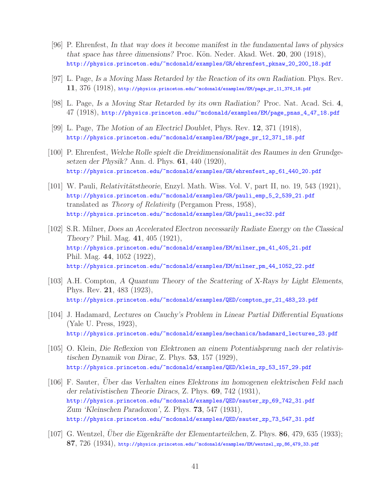- [96] P. Ehrenfest, *In that way does it become manifest in the fundamental laws of physics that space has three dimensions?* Proc. Kön. Neder. Akad. Wet. **20**, 200 (1918), http://physics.princeton.edu/~mcdonald/examples/GR/ehrenfest\_pknaw\_20\_200\_18.pdf
- [97] L. Page, *Is a Moving Mass Retarded by the Reaction of its own Radiation*. Phys. Rev. **11**, 376 (1918), http://physics.princeton.edu/~mcdonald/examples/EM/page\_pr\_11\_376\_18.pdf
- [98] L. Page, *Is a Moving Star Retarded by its own Radiation?* Proc. Nat. Acad. Sci. **4**, 47 (1918), http://physics.princeton.edu/~mcdonald/examples/EM/page\_pnas\_4\_47\_18.pdf
- [99] L. Page, *The Motion of an Electricl Doublet*, Phys. Rev. **12**, 371 (1918), http://physics.princeton.edu/~mcdonald/examples/EM/page\_pr\_12\_371\_18.pdf
- [100] P. Ehrenfest, Welche Rolle spielt die Dreidimensionalität des Raumes in den Grundge*setzen der Physik?* Ann. d. Phys. **61**, 440 (1920), http://physics.princeton.edu/~mcdonald/examples/GR/ehrenfest\_ap\_61\_440\_20.pdf
- [101] W. Pauli, *Relativitätstheorie*, Enzyl. Math. Wiss. Vol. V, part II, no. 19, 543 (1921), http://physics.princeton.edu/~mcdonald/examples/GR/pauli\_emp\_5\_2\_539\_21.pdf translated as Theory of Relativity (Pergamon Press, 1958), http://physics.princeton.edu/~mcdonald/examples/GR/pauli\_sec32.pdf
- [102] S.R. Milner, *Does an Accelerated Electron necessarily Radiate Energy on the Classical Theory?* Phil. Mag. **41**, 405 (1921), http://physics.princeton.edu/~mcdonald/examples/EM/milner\_pm\_41\_405\_21.pdf Phil. Mag. **44**, 1052 (1922), http://physics.princeton.edu/~mcdonald/examples/EM/milner\_pm\_44\_1052\_22.pdf
- [103] A.H. Compton, *A Quantum Theory of the Scattering of X-Rays by Light Elements*, Phys. Rev. **21**, 483 (1923), http://physics.princeton.edu/~mcdonald/examples/QED/compton\_pr\_21\_483\_23.pdf
- [104] J. Hadamard, *Lectures on Cauchy's Problem in Linear Partial Differential Equations* (Yale U. Press, 1923), http://physics.princeton.edu/~mcdonald/examples/mechanics/hadamard\_lectures\_23.pdf
- [105] O. Klein, *Die Reflexion von Elektronen an einem Potentialsprung nach der relativistischen Dynamik von Dirac*, Z. Phys. **53**, 157 (1929), http://physics.princeton.edu/~mcdonald/examples/QED/klein\_zp\_53\_157\_29.pdf
- [106] F. Sauter, *Über das Verhalten eines Elektrons im homogenen elektrischen Feld nach der relativistischen Theorie Diracs*, Z. Phys. **69**, 742 (1931), http://physics.princeton.edu/~mcdonald/examples/QED/sauter\_zp\_69\_742\_31.pdf *Zum 'Kleinschen Paradoxon'*, Z. Phys. **73**, 547 (1931), http://physics.princeton.edu/~mcdonald/examples/QED/sauter\_zp\_73\_547\_31.pdf
- [107] G. Wentzel, *Uber die Eigenkräfte der Elementarteilchen*, Z. Phys. 86, 479, 635 (1933); **87**, 726 (1934), http://physics.princeton.edu/~mcdonald/examples/EM/wentzel\_zp\_86\_479\_33.pdf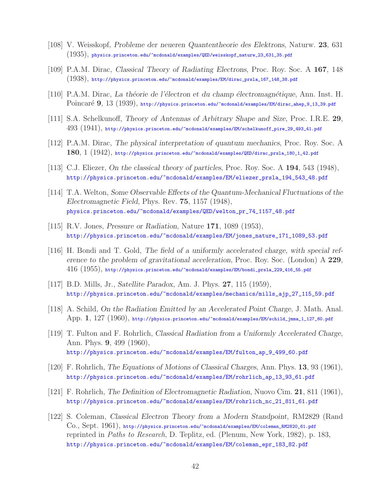- [108] V. Weisskopf, *Probleme der neueren Quantentheorie des Elektrons*, Naturw. **23**, 631 (1935), physics.princeton.edu/~mcdonald/examples/QED/weisskopf\_naturw\_23\_631\_35.pdf
- [109] P.A.M. Dirac, *Classical Theory of Radiating Electrons*, Proc. Roy. Soc. A **167**, 148 (1938), http://physics.princeton.edu/~mcdonald/examples/EM/dirac\_prsla\_167\_148\_38.pdf
- [110] P.A.M. Dirac, *La th´eorie de l'´electron et du champ ´electromagn´etique*, Ann. Inst. H. Poincaré 9, 13 (1939), http://physics.princeton.edu/~mcdonald/examples/EM/dirac\_ahep\_9\_13\_39.pdf
- [111] S.A. Schelkunoff, *Theory of Antennas of Arbitrary Shape and Size*, Proc. I.R.E. **29**, 493 (1941), http://physics.princeton.edu/~mcdonald/examples/EM/schelkunoff\_pire\_29\_493\_41.pdf
- [112] P.A.M. Dirac, *The physical interpretation of quantum mechanics*, Proc. Roy. Soc. A **180**, 1 (1942), http://physics.princeton.edu/~mcdonald/examples/QED/dirac\_prsla\_180\_1\_42.pdf
- [113] C.J. Eliezer, *On the classical theory of particles*, Proc. Roy. Soc. A **194**, 543 (1948), http://physics.princeton.edu/~mcdonald/examples/EM/eliezer\_prsla\_194\_543\_48.pdf
- [114] T.A. Welton, *Some Observable Effects of the Quantum-Mechanical Fluctuations of the Electromagnetic Field*, Phys. Rev. **75**, 1157 (1948), physics.princeton.edu/~mcdonald/examples/QED/welton\_pr\_74\_1157\_48.pdf
- [115] R.V. Jones, *Pressure or Radiation*, Nature **171**, 1089 (1953), http://physics.princeton.edu/~mcdonald/examples/EM/jones\_nature\_171\_1089\_53.pdf
- [116] H. Bondi and T. Gold, *The field of a uniformly accelerated charge, with special reference to the problem of gravitational acceleration*, Proc. Roy. Soc. (London) A **229**, 416 (1955), http://physics.princeton.edu/~mcdonald/examples/EM/bondi\_prsla\_229\_416\_55.pdf
- [117] B.D. Mills, Jr., *Satellite Paradox*, Am. J. Phys. **27**, 115 (1959), http://physics.princeton.edu/~mcdonald/examples/mechanics/mills\_ajp\_27\_115\_59.pdf
- [118] A. Schild, *On the Radiation Emitted by an Accelerated Point Charge*, J. Math. Anal. App. **1**, 127 (1960), http://physics.princeton.edu/~mcdonald/examples/EM/schild\_jmma\_1\_127\_60.pdf
- [119] T. Fulton and F. Rohrlich, *Classical Radiation from a Uniformly Accelerated Charge*, Ann. Phys. **9**, 499 (1960), http://physics.princeton.edu/~mcdonald/examples/EM/fulton\_ap\_9\_499\_60.pdf
- [120] F. Rohrlich, *The Equations of Motions of Classical Charges*, Ann. Phys. **13**, 93 (1961), http://physics.princeton.edu/~mcdonald/examples/EM/rohrlich\_ap\_13\_93\_61.pdf
- [121] F. Rohrlich, *The Definition of Electromagnetic Radiation*, Nuovo Cim. **21**, 811 (1961), http://physics.princeton.edu/~mcdonald/examples/EM/rohrlich\_nc\_21\_811\_61.pdf
- [122] S. Coleman, *Classical Electron Theory from a Modern Standpoint*, RM2829 (Rand Co., Sept. 1961), http://physics.princeton.edu/~mcdonald/examples/EM/coleman\_RM2820\_61.pdf reprinted in Paths to Research, D. Teplitz, ed. (Plenum, New York, 1982), p. 183, http://physics.princeton.edu/~mcdonald/examples/EM/coleman\_epr\_183\_82.pdf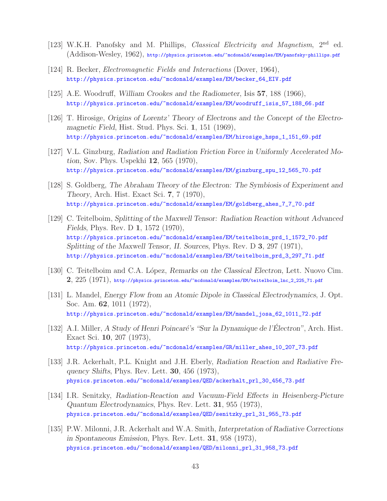- [123] W.K.H. Panofsky and M. Phillips, *Classical Electricity and Magnetism*, 2<sup>nd</sup> ed. (Addison-Wesley, 1962), http://physics.princeton.edu/~mcdonald/examples/EM/panofsky-phillips.pdf
- [124] R. Becker, *Electromagnetic Fields and Interactions* (Dover, 1964), http://physics.princeton.edu/~mcdonald/examples/EM/becker\_64\_EIV.pdf
- [125] A.E. Woodruff, *William Crookes and the Radiometer*, Isis **57**, 188 (1966), http://physics.princeton.edu/~mcdonald/examples/EM/woodruff\_isis\_57\_188\_66.pdf
- [126] T. Hirosige, *Origins of Lorentz' Theory of Electrons and the Concept of the Electromagnetic Field*, Hist. Stud. Phys. Sci. **1**, 151 (1969), http://physics.princeton.edu/~mcdonald/examples/EM/hirosige\_hsps\_1\_151\_69.pdf
- [127] V.L. Ginzburg, *Radiation and Radiation Friction Force in Uniformly Accelerated Motion*, Sov. Phys. Uspekhi **12**, 565 (1970), http://physics.princeton.edu/~mcdonald/examples/EM/ginzburg\_spu\_12\_565\_70.pdf
- [128] S. Goldberg, *The Abraham Theory of the Electron: The Symbiosis of Experiment and Theory*, Arch. Hist. Exact Sci. **7**, 7 (1970), http://physics.princeton.edu/~mcdonald/examples/EM/goldberg\_ahes\_7\_7\_70.pdf
- [129] C. Teitelboim, *Splitting of the Maxwell Tensor: Radiation Reaction without Advanced Fields*, Phys. Rev. D **1**, 1572 (1970), http://physics.princeton.edu/~mcdonald/examples/EM/teitelboim\_prd\_1\_1572\_70.pdf *Splitting of the Maxwell Tensor, II. Sources*, Phys. Rev. D **3**, 297 (1971), http://physics.princeton.edu/~mcdonald/examples/EM/teitelboim\_prd\_3\_297\_71.pdf
- [130] C. Teitelboim and C.A. L´opez, *Remarks on the Classical Electron*, Lett. Nuovo Cim. **2**, 225 (1971), http://physics.princeton.edu/~mcdonald/examples/EM/teitelboim\_lnc\_2\_225\_71.pdf
- [131] L. Mandel, *Energy Flow from an Atomic Dipole in Classical Electrodynamics*, J. Opt. Soc. Am. **62**, 1011 (1972), http://physics.princeton.edu/~mcdonald/examples/EM/mandel\_josa\_62\_1011\_72.pdf
- [132] A.I. Miller, *A Study of Henri Poincaré's "Sur la Dynamique de l'Électron"*, Arch. Hist. Exact Sci. **10**, 207 (1973), http://physics.princeton.edu/~mcdonald/examples/GR/miller\_ahes\_10\_207\_73.pdf
- [133] J.R. Ackerhalt, P.L. Knight and J.H. Eberly, *Radiation Reaction and Radiative Frequency Shifts*, Phys. Rev. Lett. **30**, 456 (1973), physics.princeton.edu/~mcdonald/examples/QED/ackerhalt\_prl\_30\_456\_73.pdf
- [134] I.R. Senitzky, *Radiation-Reaction and Vacuum-Field Effects in Heisenberg-Picture Quantum Electrodynamics*, Phys. Rev. Lett. **31**, 955 (1973), physics.princeton.edu/~mcdonald/examples/QED/senitzky\_prl\_31\_955\_73.pdf
- [135] P.W. Milonni, J.R. Ackerhalt and W.A. Smith, *Interpretation of Radiative Corrections in Spontaneous Emission*, Phys. Rev. Lett. **31**, 958 (1973), physics.princeton.edu/~mcdonald/examples/QED/milonni\_prl\_31\_958\_73.pdf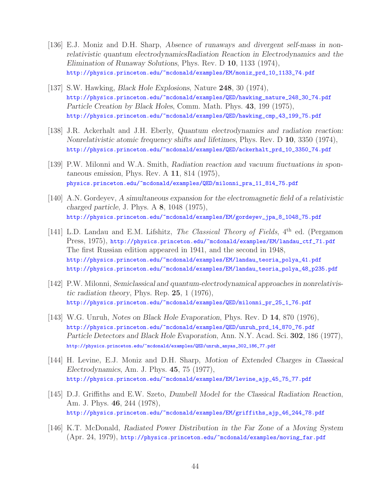- [136] E.J. Moniz and D.H. Sharp, *Absence of runaways and divergent self-mass in nonrelativistic quantum electrodynamicsRadiation Reaction in Electrodynamics and the Elimination of Runaway Solutions*, Phys. Rev. D **10**, 1133 (1974), http://physics.princeton.edu/~mcdonald/examples/EM/moniz\_prd\_10\_1133\_74.pdf
- [137] S.W. Hawking, *Black Hole Explosions*, Nature **248**, 30 (1974), http://physics.princeton.edu/~mcdonald/examples/QED/hawking\_nature\_248\_30\_74.pdf *Particle Creation by Black Holes*, Comm. Math. Phys. **43**, 199 (1975), http://physics.princeton.edu/~mcdonald/examples/QED/hawking\_cmp\_43\_199\_75.pdf
- [138] J.R. Ackerhalt and J.H. Eberly, *Quantum electrodynamics and radiation reaction: Nonrelativistic atomic frequency shifts and lifetimes*, Phys. Rev. D **10**, 3350 (1974), http://physics.princeton.edu/~mcdonald/examples/QED/ackerhalt\_prd\_10\_3350\_74.pdf
- [139] P.W. Milonni and W.A. Smith, *Radiation reaction and vacuum fiuctuations in spontaneous emission*, Phys. Rev. A **11**, 814 (1975), physics.princeton.edu/~mcdonald/examples/QED/milonni\_pra\_11\_814\_75.pdf
- [140] A.N. Gordeyev, *A simultaneous expansion for the electromagnetic field of a relativistic charged particle*, J. Phys. A **8**, 1048 (1975), http://physics.princeton.edu/~mcdonald/examples/EM/gordeyev\_jpa\_8\_1048\_75.pdf
- [141] L.D. Landau and E.M. Lifshitz, *The Classical Theory of Fields*, 4<sup>th</sup> ed. (Pergamon Press, 1975), http://physics.princeton.edu/~mcdonald/examples/EM/landau\_ctf\_71.pdf The first Russian edition appeared in 1941, and the second in 1948, http://physics.princeton.edu/~mcdonald/examples/EM/landau\_teoria\_polya\_41.pdf http://physics.princeton.edu/~mcdonald/examples/EM/landau\_teoria\_polya\_48\_p235.pdf
- [142] P.W. Milonni, *Semiclassical and quantum-electrodynamical approaches in nonrelativistic radiation theory*, Phys. Rep. **25**, 1 (1976), http://physics.princeton.edu/~mcdonald/examples/QED/milonni\_pr\_25\_1\_76.pdf
- [143] W.G. Unruh, *Notes on Black Hole Evaporation*, Phys. Rev. D **14**, 870 (1976), http://physics.princeton.edu/~mcdonald/examples/QED/unruh\_prd\_14\_870\_76.pdf *Particle Detectors and Black Hole Evaporation*, Ann. N.Y. Acad. Sci. **302**, 186 (1977), http://physics.princeton.edu/~mcdonald/examples/QED/unruh\_anyas\_302\_186\_77.pdf
- [144] H. Levine, E.J. Moniz and D.H. Sharp, *Motion of Extended Charges in Classical Electrodynamics*, Am. J. Phys. **45**, 75 (1977), http://physics.princeton.edu/~mcdonald/examples/EM/levine\_ajp\_45\_75\_77.pdf
- [145] D.J. Griffiths and E.W. Szeto, *Dumbell Model for the Classical Radiation Reaction*, Am. J. Phys. **46**, 244 (1978), http://physics.princeton.edu/~mcdonald/examples/EM/griffiths\_ajp\_46\_244\_78.pdf
- [146] K.T. McDonald, *Radiated Power Distribution in the Far Zone of a Moving System* (Apr. 24, 1979), http://physics.princeton.edu/~mcdonald/examples/moving\_far.pdf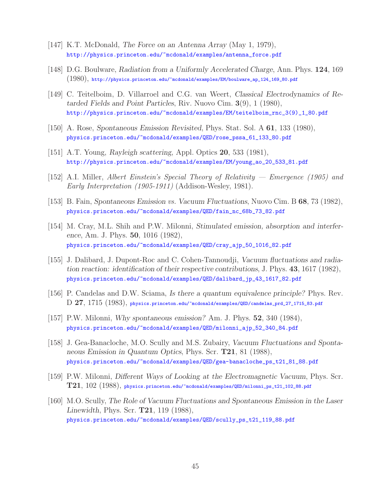- [147] K.T. McDonald, *The Force on an Antenna Array* (May 1, 1979), http://physics.princeton.edu/~mcdonald/examples/antenna\_force.pdf
- [148] D.G. Boulware, *Radiation from a Uniformly Accelerated Charge*, Ann. Phys. **124**, 169 (1980), http://physics.princeton.edu/~mcdonald/examples/EM/boulware\_ap\_124\_169\_80.pdf
- [149] C. Teitelboim, D. Villarroel and C.G. van Weert, *Classical Electrodynamics of Retarded Fields and Point Particles*, Riv. Nuovo Cim. **3**(9), 1 (1980), http://physics.princeton.edu/~mcdonald/examples/EM/teitelboim\_rnc\_3(9)\_1\_80.pdf
- [150] A. Rose, *Spontaneous Emission Revisited*, Phys. Stat. Sol. A **61**, 133 (1980), physics.princeton.edu/~mcdonald/examples/QED/rose\_pssa\_61\_133\_80.pdf
- [151] A.T. Young, *Rayleigh scattering*, Appl. Optics **20**, 533 (1981), http://physics.princeton.edu/~mcdonald/examples/EM/young\_ao\_20\_533\_81.pdf
- [152] A.I. Miller, Albert Einstein's Special Theory of Relativity Emergence (1905) and Early Interpretation (1905-1911) (Addison-Wesley, 1981).
- [153] B. Fain, *Spontaneous Emission* vs. *Vacuum Fluctuations*, Nuovo Cim. B **68**, 73 (1982), physics.princeton.edu/~mcdonald/examples/QED/fain\_nc\_68b\_73\_82.pdf
- [154] M. Cray, M.L. Shih and P.W. Milonni, *Stimulated emission, absorption and interference*, Am. J. Phys. **50**, 1016 (1982), physics.princeton.edu/~mcdonald/examples/QED/cray\_ajp\_50\_1016\_82.pdf
- [155] J. Dalibard, J. Dupont-Roc and C. Cohen-Tannoudji, *Vacuum fluctuations and radiation reaction: identification of their respective contributions*, J. Phys. **43**, 1617 (1982), physics.princeton.edu/~mcdonald/examples/QED/dalibard\_jp\_43\_1617\_82.pdf
- [156] P. Candelas and D.W. Sciama, *Is there a quantum equivalence principle?* Phys. Rev. D **27**, 1715 (1983), physics.princeton.edu/~mcdonald/examples/QED/candelas\_prd\_27\_1715\_83.pdf
- [157] P.W. Milonni, *Why spontaneous emission?* Am. J. Phys. **52**, 340 (1984), physics.princeton.edu/~mcdonald/examples/QED/milonni\_ajp\_52\_340\_84.pdf
- [158] J. Gea-Banacloche, M.O. Scully and M.S. Zubairy, *Vacuum Fluctuations and Spontaneous Emission in Quantum Optics*, Phys. Scr. **T21**, 81 (1988), physics.princeton.edu/~mcdonald/examples/QED/gea-banacloche\_ps\_t21\_81\_88.pdf
- [159] P.W. Milonni, *Different Ways of Looking at the Electromagnetic Vacuum*, Phys. Scr. **T21**, 102 (1988), physics.princeton.edu/~mcdonald/examples/QED/milonni\_ps\_t21\_102\_88.pdf
- [160] M.O. Scully, *The Role of Vacuum Fluctuations and Spontaneous Emission in the Laser Linewidth*, Phys. Scr. **T21**, 119 (1988), physics.princeton.edu/~mcdonald/examples/QED/scully\_ps\_t21\_119\_88.pdf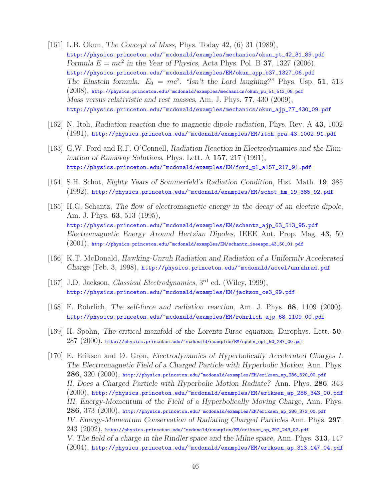- [161] L.B. Okun, *The Concept of Mass*, Phys. Today 42, (6) 31 (1989), http://physics.princeton.edu/~mcdonald/examples/mechanics/okun\_pt\_42\_31\_89.pdf *Formula*  $E = mc^2$  *in the Year of Physics*, Acta Phys. Pol. B **37**, 1327 (2006), http://physics.princeton.edu/~mcdonald/examples/EM/okun\_app\_b37\_1327\_06.pdf *The Einstein formula:*  $E_0 = mc^2$ . "Isn't the Lord laughing?" Phys. Usp. 51, 513  $(2008)$ , http://physics.princeton.edu/~mcdonald/examples/mechanics/okun\_pu\_51\_513\_08.pdf *Mass versus relativistic and rest masses*, Am. J. Phys. **77**, 430 (2009), http://physics.princeton.edu/~mcdonald/examples/mechanics/okun\_ajp\_77\_430\_09.pdf
- [162] N. Itoh, *Radiation reaction due to magnetic dipole radiation*, Phys. Rev. A **43**, 1002 (1991), http://physics.princeton.edu/~mcdonald/examples/EM/itoh\_pra\_43\_1002\_91.pdf
- [163] G.W. Ford and R.F. O'Connell, *Radiation Reaction in Electrodynamics and the Elimination of Runaway Solutions*, Phys. Lett. A **157**, 217 (1991), http://physics.princeton.edu/~mcdonald/examples/EM/ford\_pl\_a157\_217\_91.pdf
- [164] S.H. Schot, *Eighty Years of Sommerfeld's Radiation Condition*, Hist. Math. **19**, 385 (1992), http://physics.princeton.edu/~mcdonald/examples/EM/schot\_hm\_19\_385\_92.pdf
- [165] H.G. Schantz, *The flow of electromagnetic energy in the decay of an electric dipole*, Am. J. Phys. **63**, 513 (1995), http://physics.princeton.edu/~mcdonald/examples/EM/schantz\_ajp\_63\_513\_95.pdf *Electromagnetic Energy Around Hertzian Dipoles*, IEEE Ant. Prop. Mag. **43**, 50  $(2001)$ , http://physics.princeton.edu/~mcdonald/examples/EM/schantz\_ieeeapm\_43\_50\_01.pdf
- [166] K.T. McDonald, *Hawking-Unruh Radiation and Radiation of a Uniformly Accelerated Charge* (Feb. 3, 1998), http://physics.princeton.edu/~mcdonald/accel/unruhrad.pdf
- [167] J.D. Jackson, *Classical Electrodynamics*, 3<sup>rd</sup> ed. (Wiley, 1999), http://physics.princeton.edu/~mcdonald/examples/EM/jackson\_ce3\_99.pdf
- [168] F. Rohrlich, *The self-force and radiation reaction*, Am. J. Phys. **68**, 1109 (2000), http://physics.princeton.edu/~mcdonald/examples/EM/rohrlich\_ajp\_68\_1109\_00.pdf
- [169] H. Spohn, *The critical manifold of the Lorentz-Dirac equation*, Europhys. Lett. **50**,  $287\ (2000),$  http://physics.princeton.edu/~mcdonald/examples/EM/spohn\_epl\_50\_287\_00.pdf
- [170] E. Eriksen and Ø. Grøn, *Electrodynamics of Hyperbolically Accelerated Charges I. The Electromagnetic Field of a Charged Particle with Hyperbolic Motion*, Ann. Phys. **286**, 320 (2000), http://physics.princeton.edu/~mcdonald/examples/EM/eriksen\_ap\_286\_320\_00.pdf *II. Does a Charged Particle with Hyperbolic Motion Radiate?* Ann. Phys. **286**, 343  $(2000)$ , http://physics.princeton.edu/~mcdonald/examples/EM/eriksen\_ap\_286\_343\_00.pdf *III. Energy-Momentum of the Field of a Hyperbolically Moving Charge*, Ann. Phys. **286**, 373 (2000), http://physics.princeton.edu/~mcdonald/examples/EM/eriksen\_ap\_286\_373\_00.pdf *IV. Energy-Momentum Conservation of Radiating Charged Particles* Ann. Phys. **297**,  $243$   $(2002)$ , http://physics.princeton.edu/~mcdonald/examples/EM/eriksen\_ap\_297\_243\_02.pdf *V. The field of a charge in the Rindler space and the Milne space*, Ann. Phys. **313**, 147 (2004), http://physics.princeton.edu/~mcdonald/examples/EM/eriksen\_ap\_313\_147\_04.pdf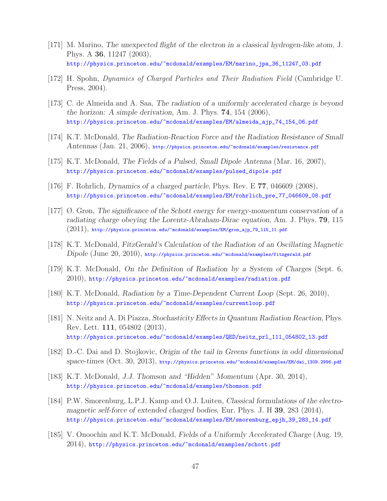- [171] M. Marino, *The unexpected flight of the electron in a classical hydrogen-like atom*, J. Phys. A **36**, 11247 (2003), http://physics.princeton.edu/~mcdonald/examples/EM/marino\_jpa\_36\_11247\_03.pdf
- [172] H. Spohn, Dynamics of Charged Particles and Their Radiation Field (Cambridge U. Press, 2004).
- [173] C. de Almeida and A. Saa, *The radiation of a uniformly accelerated charge is beyond the horizon: A simple derivation*, Am. J. Phys. **74**, 154 (2006), http://physics.princeton.edu/~mcdonald/examples/EM/almeida\_ajp\_74\_154\_06.pdf
- [174] K.T. McDonald, *The Radiation-Reaction Force and the Radiation Resistance of Small Antennas* (Jan. 21, 2006), http://physics.princeton.edu/~mcdonald/examples/resistance.pdf
- [175] K.T. McDonald, *The Fields of a Pulsed, Small Dipole Antenna* (Mar. 16, 2007), http://physics.princeton.edu/~mcdonald/examples/pulsed\_dipole.pdf
- [176] F. Rohrlich, *Dynamics of a charged particle*, Phys. Rev. E **77**, 046609 (2008), http://physics.princeton.edu/~mcdonald/examples/EM/rohrlich\_pre\_77\_046609\_08.pdf
- [177] Ø. Grøn, *The significance of the Schott energy for energy-momentum conservation of a radiating charge obeying the Lorentz-Abraham-Dirac equation*, Am. J. Phys. **79**, 115  $(2011),$  http://physics.princeton.edu/~mcdonald/examples/EM/gron\_ajp\_79\_115\_11.pdf
- [178] K.T. McDonald, *FitzGerald's Calculation of the Radiation of an Oscillating Magnetic Dipole* (June 20, 2010), http://physics.princeton.edu/~mcdonald/examples/fitzgerald.pdf
- [179] K.T. McDonald, *On the Definition of Radiation by a System of Charges* (Sept. 6, 2010), http://physics.princeton.edu/~mcdonald/examples/radiation.pdf
- [180] K.T. McDonald, *Radiation by a Time-Dependent Current Loop* (Sept. 26, 2010), http://physics.princeton.edu/~mcdonald/examples/currentloop.pdf
- [181] N. Neitz and A. Di Piazza, *Stochasticity Effects in Quantum Radiation Reaction*, Phys. Rev. Lett. **111**, 054802 (2013), http://physics.princeton.edu/~mcdonald/examples/QED/neitz\_prl\_111\_054802\_13.pdf
- [182] D.-C. Dai and D. Stojkovic, *Origin of the tail in Greens functions in odd dimensional space-times* (Oct. 30, 2013), http://physics.princeton.edu/~mcdonald/examples/EM/dai\_1309.2996.pdf
- [183] K.T. McDonald, *J.J. Thomson and "Hidden" Momentum* (Apr. 30, 2014), http://physics.princeton.edu/~mcdonald/examples/thomson.pdf
- [184] P.W. Smorenburg, L.P.J. Kamp and O.J. Luiten, *Classical formulations of the electromagnetic self-force of extended charged bodies*, Eur. Phys. J. H **39**, 283 (2014), http://physics.princeton.edu/~mcdonald/examples/EM/smorenburg\_epjh\_39\_283\_14.pdf
- [185] V. Onoochin and K.T. McDonald, *Fields of a Uniformly Accelerated Charge* (Aug. 19,  $2014$ ), http://physics.princeton.edu/~mcdonald/examples/schott.pdf